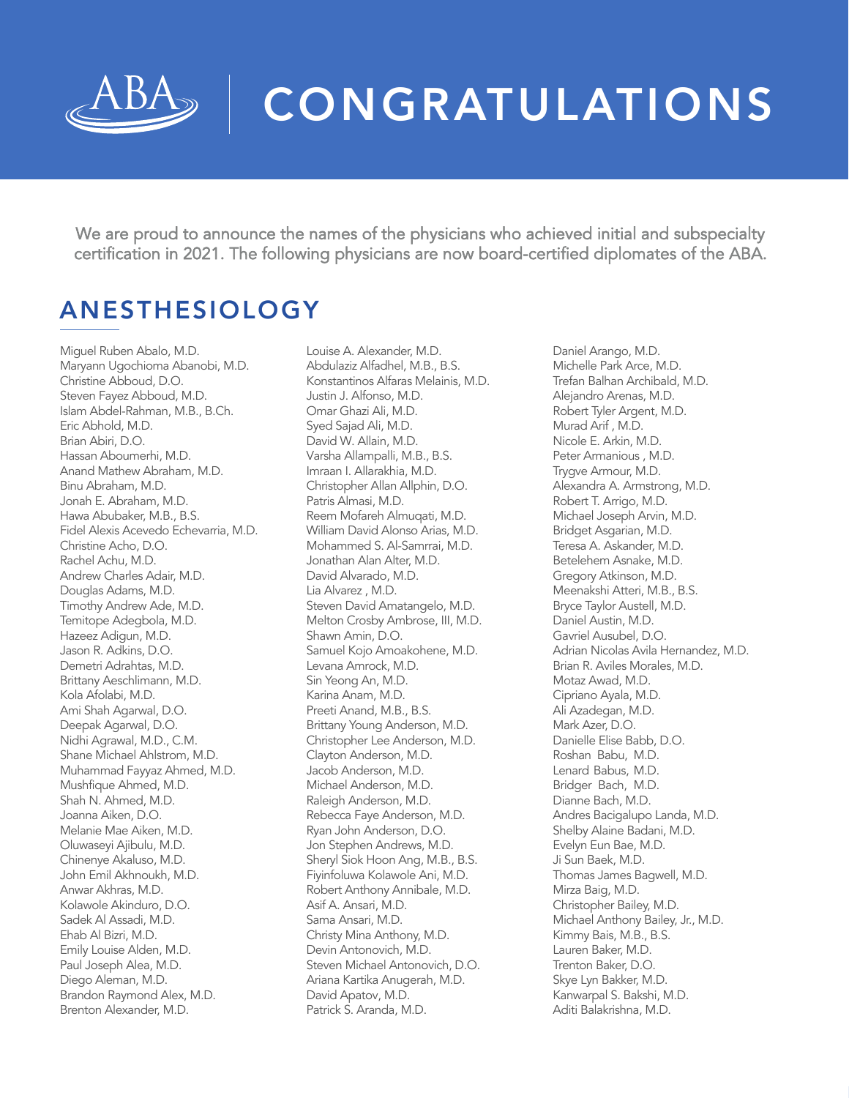

# CONGRATULATIONS

We are proud to announce the names of the physicians who achieved initial and subspecialty certification in 2021. The following physicians are now board-certified diplomates of the ABA.

# ANESTHESIOLOGY

Miguel Ruben Abalo, M.D. Maryann Ugochioma Abanobi, M.D. Christine Abboud, D.O. Steven Fayez Abboud, M.D. Islam Abdel-Rahman, M.B., B.Ch. Eric Abhold, M.D. Brian Abiri, D.O. Hassan Aboumerhi, M.D. Anand Mathew Abraham, M.D. Binu Abraham, M.D. Jonah E. Abraham, M.D. Hawa Abubaker, M.B., B.S. Fidel Alexis Acevedo Echevarria, M.D. Christine Acho, D.O. Rachel Achu, M.D. Andrew Charles Adair, M.D. Douglas Adams, M.D. Timothy Andrew Ade, M.D. Temitope Adegbola, M.D. Hazeez Adigun, M.D. Jason R. Adkins, D.O. Demetri Adrahtas, M.D. Brittany Aeschlimann, M.D. Kola Afolabi, M.D. Ami Shah Agarwal, D.O. Deepak Agarwal, D.O. Nidhi Agrawal, M.D., C.M. Shane Michael Ahlstrom, M.D. Muhammad Fayyaz Ahmed, M.D. Mushfique Ahmed, M.D. Shah N. Ahmed, M.D. Joanna Aiken, D.O. Melanie Mae Aiken, M.D. Oluwaseyi Ajibulu, M.D. Chinenye Akaluso, M.D. John Emil Akhnoukh, M.D. Anwar Akhras, M.D. Kolawole Akinduro, D.O. Sadek Al Assadi, M.D. Ehab Al Bizri, M.D. Emily Louise Alden, M.D. Paul Joseph Alea, M.D. Diego Aleman, M.D. Brandon Raymond Alex, M.D. Brenton Alexander, M.D.

Louise A. Alexander, M.D. Abdulaziz Alfadhel, M.B., B.S. Konstantinos Alfaras Melainis, M.D. Justin J. Alfonso, M.D. Omar Ghazi Ali, M.D. Syed Sajad Ali, M.D. David W. Allain, M.D. Varsha Allampalli, M.B., B.S. Imraan I. Allarakhia, M.D. Christopher Allan Allphin, D.O. Patris Almasi, M.D. Reem Mofareh Almuqati, M.D. William David Alonso Arias, M.D. Mohammed S. Al-Samrrai, M.D. Jonathan Alan Alter, M.D. David Alvarado, M.D. Lia Alvarez , M.D. Steven David Amatangelo, M.D. Melton Crosby Ambrose, III, M.D. Shawn Amin, D.O. Samuel Kojo Amoakohene, M.D. Levana Amrock, M.D. Sin Yeong An, M.D. Karina Anam, M.D. Preeti Anand, M.B., B.S. Brittany Young Anderson, M.D. Christopher Lee Anderson, M.D. Clayton Anderson, M.D. Jacob Anderson, M.D. Michael Anderson, M.D. Raleigh Anderson, M.D. Rebecca Faye Anderson, M.D. Ryan John Anderson, D.O. Jon Stephen Andrews, M.D. Sheryl Siok Hoon Ang, M.B., B.S. Fiyinfoluwa Kolawole Ani, M.D. Robert Anthony Annibale, M.D. Asif A. Ansari, M.D. Sama Ansari, M.D. Christy Mina Anthony, M.D. Devin Antonovich, M.D. Steven Michael Antonovich, D.O. Ariana Kartika Anugerah, M.D. David Apatov, M.D. Patrick S. Aranda, M.D.

Daniel Arango, M.D. Michelle Park Arce, M.D. Trefan Balhan Archibald, M.D. Alejandro Arenas, M.D. Robert Tyler Argent, M.D. Murad Arif , M.D. Nicole E. Arkin, M.D. Peter Armanious , M.D. Trygve Armour, M.D. Alexandra A. Armstrong, M.D. Robert T. Arrigo, M.D. Michael Joseph Arvin, M.D. Bridget Asgarian, M.D. Teresa A. Askander, M.D. Betelehem Asnake, M.D. Gregory Atkinson, M.D. Meenakshi Atteri, M.B., B.S. Bryce Taylor Austell, M.D. Daniel Austin, M.D. Gavriel Ausubel, D.O. Adrian Nicolas Avila Hernandez, M.D. Brian R. Aviles Morales, M.D. Motaz Awad, M.D. Cipriano Ayala, M.D. Ali Azadegan, M.D. Mark Azer, D.O. Danielle Elise Babb, D.O. Roshan Babu, M.D. Lenard Babus, M.D. Bridger Bach, M.D. Dianne Bach, M.D. Andres Bacigalupo Landa, M.D. Shelby Alaine Badani, M.D. Evelyn Eun Bae, M.D. Ji Sun Baek, M.D. Thomas James Bagwell, M.D. Mirza Baig, M.D. Christopher Bailey, M.D. Michael Anthony Bailey, Jr., M.D. Kimmy Bais, M.B., B.S. Lauren Baker, M.D. Trenton Baker, D.O. Skye Lyn Bakker, M.D. Kanwarpal S. Bakshi, M.D. Aditi Balakrishna, M.D.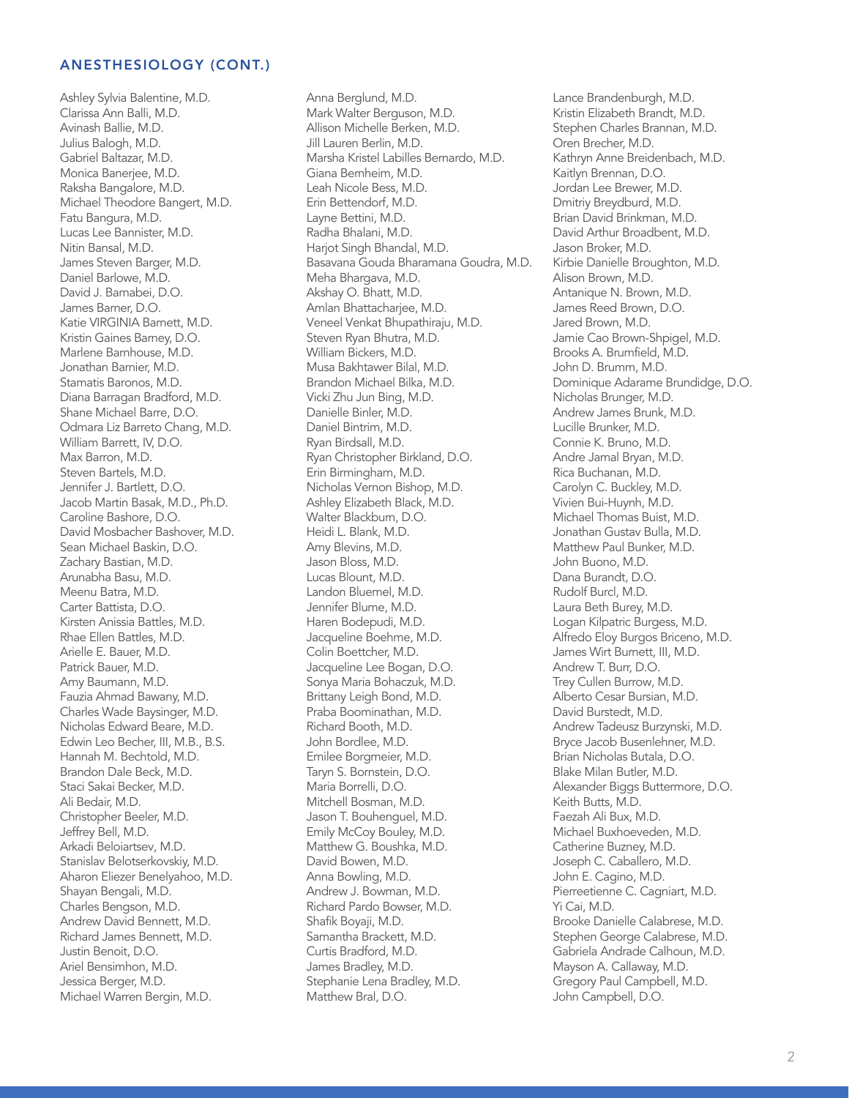Ashley Sylvia Balentine, M.D. Clarissa Ann Balli, M.D. Avinash Ballie, M.D. Julius Balogh, M.D. Gabriel Baltazar, M.D. Monica Banerjee, M.D. Raksha Bangalore, M.D. Michael Theodore Bangert, M.D. Fatu Bangura, M.D. Lucas Lee Bannister, M.D. Nitin Bansal, M.D. James Steven Barger, M.D. Daniel Barlowe, M.D. David J. Barnabei, D.O. James Barner, D.O. Katie VIRGINIA Barnett, M.D. Kristin Gaines Barney, D.O. Marlene Barnhouse, M.D. Jonathan Barnier, M.D. Stamatis Baronos, M.D. Diana Barragan Bradford, M.D. Shane Michael Barre, D.O. Odmara Liz Barreto Chang, M.D. William Barrett, IV, D.O. Max Barron, M.D. Steven Bartels, M.D. Jennifer J. Bartlett, D.O. Jacob Martin Basak, M.D., Ph.D. Caroline Bashore, D.O. David Mosbacher Bashover, M.D. Sean Michael Baskin, D.O. Zachary Bastian, M.D. Arunabha Basu, M.D. Meenu Batra, M.D. Carter Battista, D.O. Kirsten Anissia Battles, M.D. Rhae Ellen Battles, M.D. Arielle E. Bauer, M.D. Patrick Bauer, M.D. Amy Baumann, M.D. Fauzia Ahmad Bawany, M.D. Charles Wade Baysinger, M.D. Nicholas Edward Beare, M.D. Edwin Leo Becher, III, M.B., B.S. Hannah M. Bechtold, M.D. Brandon Dale Beck, M.D. Staci Sakai Becker, M.D. Ali Bedair, M.D. Christopher Beeler, M.D. Jeffrey Bell, M.D. Arkadi Beloiartsev, M.D. Stanislav Belotserkovskiy, M.D. Aharon Eliezer Benelyahoo, M.D. Shayan Bengali, M.D. Charles Bengson, M.D. Andrew David Bennett, M.D. Richard James Bennett, M.D. Justin Benoit, D.O. Ariel Bensimhon, M.D. Jessica Berger, M.D. Michael Warren Bergin, M.D.

Anna Berglund, M.D. Mark Walter Berguson, M.D. Allison Michelle Berken, M.D. Jill Lauren Berlin, M.D. Marsha Kristel Labilles Bernardo, M.D. Giana Bernheim, M.D. Leah Nicole Bess, M.D. Erin Bettendorf, M.D. Layne Bettini, M.D. Radha Bhalani, M.D. Harjot Singh Bhandal, M.D. Basavana Gouda Bharamana Goudra, M.D. Meha Bhargava, M.D. Akshay O. Bhatt, M.D. Amlan Bhattacharjee, M.D. Veneel Venkat Bhupathiraju, M.D. Steven Ryan Bhutra, M.D. William Bickers, M.D. Musa Bakhtawer Bilal, M.D. Brandon Michael Bilka, M.D. Vicki Zhu Jun Bing, M.D. Danielle Binler, M.D. Daniel Bintrim, M.D. Ryan Birdsall, M.D. Ryan Christopher Birkland, D.O. Erin Birmingham, M.D. Nicholas Vernon Bishop, M.D. Ashley Elizabeth Black, M.D. Walter Blackburn, D.O. Heidi L. Blank, M.D. Amy Blevins, M.D. Jason Bloss, M.D. Lucas Blount, M.D. Landon Bluemel, M.D. Jennifer Blume, M.D. Haren Bodepudi, M.D. Jacqueline Boehme, M.D. Colin Boettcher, M.D. Jacqueline Lee Bogan, D.O. Sonya Maria Bohaczuk, M.D. Brittany Leigh Bond, M.D. Praba Boominathan, M.D. Richard Booth, M.D. John Bordlee, M.D. Emilee Borgmeier, M.D. Taryn S. Bornstein, D.O. Maria Borrelli, D.O. Mitchell Bosman, M.D. Jason T. Bouhenguel, M.D. Emily McCoy Bouley, M.D. Matthew G. Boushka, M.D. David Bowen, M.D. Anna Bowling, M.D. Andrew J. Bowman, M.D. Richard Pardo Bowser, M.D. Shafik Boyaji, M.D. Samantha Brackett, M.D. Curtis Bradford, M.D. James Bradley, M.D. Stephanie Lena Bradley, M.D. Matthew Bral, D.O.

Lance Brandenburgh, M.D. Kristin Elizabeth Brandt, M.D. Stephen Charles Brannan, M.D. Oren Brecher, M.D. Kathryn Anne Breidenbach, M.D. Kaitlyn Brennan, D.O. Jordan Lee Brewer, M.D. Dmitriy Breydburd, M.D. Brian David Brinkman, M.D. David Arthur Broadbent, M.D. Jason Broker, M.D. Kirbie Danielle Broughton, M.D. Alison Brown, M.D. Antanique N. Brown, M.D. James Reed Brown, D.O. Jared Brown, M.D. Jamie Cao Brown-Shpigel, M.D. Brooks A. Brumfield, M.D. John D. Brumm, M.D. Dominique Adarame Brundidge, D.O. Nicholas Brunger, M.D. Andrew James Brunk, M.D. Lucille Brunker, M.D. Connie K. Bruno, M.D. Andre Jamal Bryan, M.D. Rica Buchanan, M.D. Carolyn C. Buckley, M.D. Vivien Bui-Huynh, M.D. Michael Thomas Buist, M.D. Jonathan Gustav Bulla, M.D. Matthew Paul Bunker, M.D. John Buono, M.D. Dana Burandt, D.O. Rudolf Burcl, M.D. Laura Beth Burey, M.D. Logan Kilpatric Burgess, M.D. Alfredo Eloy Burgos Briceno, M.D. James Wirt Burnett, III, M.D. Andrew T. Burr, D.O. Trey Cullen Burrow, M.D. Alberto Cesar Bursian, M.D. David Burstedt, M.D. Andrew Tadeusz Burzynski, M.D. Bryce Jacob Busenlehner, M.D. Brian Nicholas Butala, D.O. Blake Milan Butler, M.D. Alexander Biggs Buttermore, D.O. Keith Butts, M.D. Faezah Ali Bux, M.D. Michael Buxhoeveden, M.D. Catherine Buzney, M.D. Joseph C. Caballero, M.D. John E. Cagino, M.D. Pierreetienne C. Cagniart, M.D. Yi Cai, M.D. Brooke Danielle Calabrese, M.D. Stephen George Calabrese, M.D. Gabriela Andrade Calhoun, M.D. Mayson A. Callaway, M.D. Gregory Paul Campbell, M.D. John Campbell, D.O.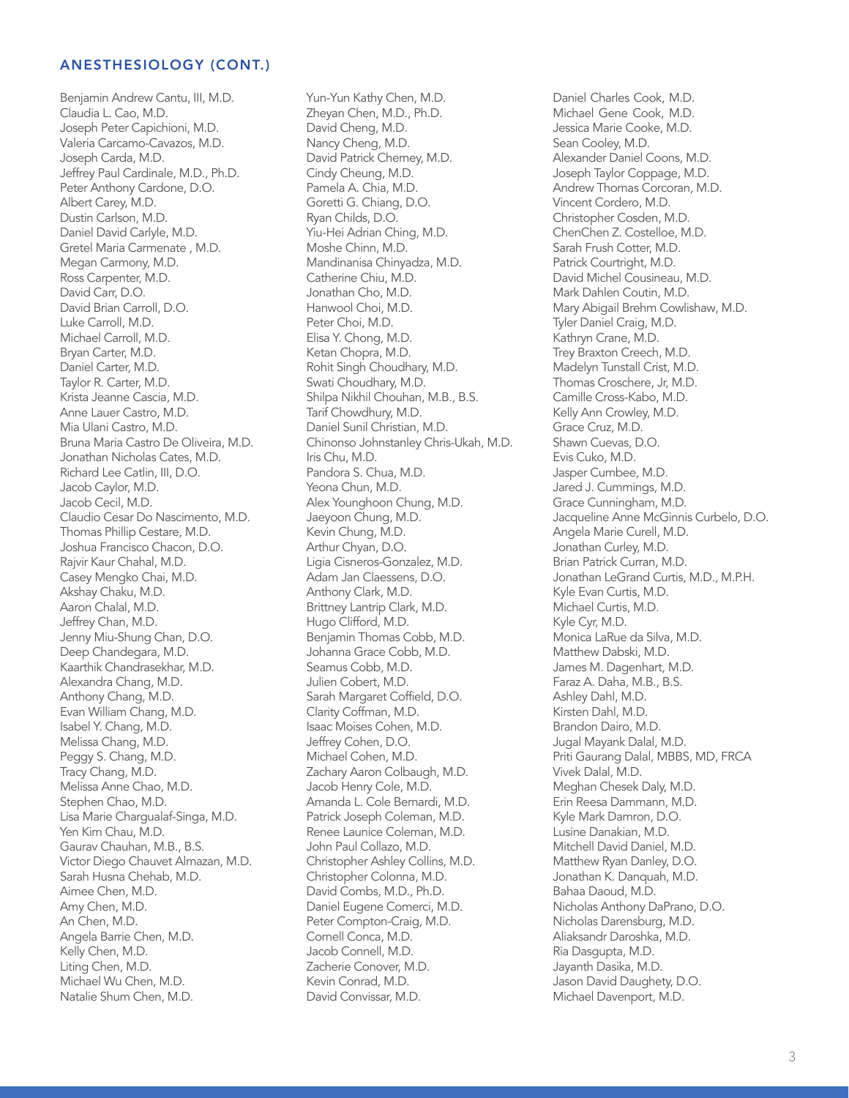Benjamin Andrew Cantu, III, M.D. Claudia L. Cao, M.D. Joseph Peter Capichioni, M.D. Valeria Carcamo-Cavazos, M.D. Joseph Carda, M.D. Jeffrey Paul Cardinale, M.D., Ph.D. Peter Anthony Cardone, D.O. Albert Carey, M.D. Dustin Carlson, M.D. Daniel David Carlyle, M.D. Gretel Maria Carmenate , M.D. Megan Carmony, M.D. Ross Carpenter, M.D. David Carr, D.O. David Brian Carroll, D.O. Luke Carroll, M.D. Michael Carroll, M.D. Bryan Carter, M.D. Daniel Carter, M.D. Taylor R. Carter, M.D. Krista Jeanne Cascia, M.D. Anne Lauer Castro, M.D. Mia Ulani Castro, M.D. Bruna Maria Castro De Oliveira, M.D. Jonathan Nicholas Cates, M.D. Richard Lee Catlin, III, D.O. Jacob Caylor, M.D. Jacob Cecil, M.D. Claudio Cesar Do Nascimento, M.D. Thomas Phillip Cestare, M.D. Joshua Francisco Chacon, D.O. Rajvir Kaur Chahal, M.D. Casey Mengko Chai, M.D. Akshay Chaku, M.D. Aaron Chalal, M.D. Jeffrey Chan, M.D. Jenny Miu-Shung Chan, D.O. Deep Chandegara, M.D. Kaarthik Chandrasekhar, M.D. Alexandra Chang, M.D. Anthony Chang, M.D. Evan William Chang, M.D. Isabel Y. Chang, M.D. Melissa Chang, M.D. Peggy S. Chang, M.D. Tracy Chang, M.D. Melissa Anne Chao, M.D. Stephen Chao, M.D. Lisa Marie Chargualaf-Singa, M.D. Yen Kim Chau, M.D. Gaurav Chauhan, M.B., B.S. Victor Diego Chauvet Almazan, M.D. Sarah Husna Chehab, M.D. Aimee Chen, M.D. Amy Chen, M.D. An Chen, M.D. Angela Barrie Chen, M.D. Kelly Chen, M.D. Liting Chen, M.D. Michael Wu Chen, M.D. Natalie Shum Chen, M.D.

Yun-Yun Kathy Chen, M.D. Zheyan Chen, M.D., Ph.D. David Cheng, M.D. Nancy Cheng, M.D. David Patrick Cherney, M.D. Cindy Cheung, M.D. Pamela A. Chia, M.D. Goretti G. Chiang, D.O. Ryan Childs, D.O. Yiu-Hei Adrian Ching, M.D. Moshe Chinn, M.D. Mandinanisa Chinyadza, M.D. Catherine Chiu, M.D. Jonathan Cho, M.D. Hanwool Choi, M.D. Peter Choi, M.D. Elisa Y. Chong, M.D. Ketan Chopra, M.D. Rohit Singh Choudhary, M.D. Swati Choudhary, M.D. Shilpa Nikhil Chouhan, M.B., B.S. Tarif Chowdhury, M.D. Daniel Sunil Christian, M.D. Chinonso Johnstanley Chris-Ukah, M.D. Iris Chu, M.D. Pandora S. Chua, M.D. Yeona Chun, M.D. Alex Younghoon Chung, M.D. Jaeyoon Chung, M.D. Kevin Chung, M.D. Arthur Chyan, D.O. Ligia Cisneros-Gonzalez, M.D. Adam Jan Claessens, D.O. Anthony Clark, M.D. Brittney Lantrip Clark, M.D. Hugo Clifford, M.D. Benjamin Thomas Cobb, M.D. Johanna Grace Cobb, M.D. Seamus Cobb, M.D. Julien Cobert, M.D. Sarah Margaret Coffield, D.O. Clarity Coffman, M.D. Isaac Moises Cohen, M.D. Jeffrey Cohen, D.O. Michael Cohen, M.D. Zachary Aaron Colbaugh, M.D. Jacob Henry Cole, M.D. Amanda L. Cole Bernardi, M.D. Patrick Joseph Coleman, M.D. Renee Launice Coleman, M.D. John Paul Collazo, M.D. Christopher Ashley Collins, M.D. Christopher Colonna, M.D. David Combs, M.D., Ph.D. Daniel Eugene Comerci, M.D. Peter Compton-Craig, M.D. Cornell Conca, M.D. Jacob Connell, M.D. Zacherie Conover, M.D. Kevin Conrad, M.D. David Convissar, M.D.

Daniel Charles Cook, M.D. Michael Gene Cook, M.D. Jessica Marie Cooke, M.D. Sean Cooley, M.D. Alexander Daniel Coons, M.D. Joseph Taylor Coppage, M.D. Andrew Thomas Corcoran, M.D. Vincent Cordero, M.D. Christopher Cosden, M.D. ChenChen Z. Costelloe, M.D. Sarah Frush Cotter, M.D. Patrick Courtright, M.D. David Michel Cousineau, M.D. Mark Dahlen Coutin, M.D. Mary Abigail Brehm Cowlishaw, M.D. Tyler Daniel Craig, M.D. Kathryn Crane, M.D. Trey Braxton Creech, M.D. Madelyn Tunstall Crist, M.D. Thomas Croschere, Jr, M.D. Camille Cross-Kabo, M.D. Kelly Ann Crowley, M.D. Grace Cruz, M.D. Shawn Cuevas, D.O. Evis Cuko, M.D. Jasper Cumbee, M.D. Jared J. Cummings, M.D. Grace Cunningham, M.D. Jacqueline Anne McGinnis Curbelo, D.O. Angela Marie Curell, M.D. Jonathan Curley, M.D. Brian Patrick Curran, M.D. Jonathan LeGrand Curtis, M.D., M.P.H. Kyle Evan Curtis, M.D. Michael Curtis, M.D. Kyle Cyr, M.D. Monica LaRue da Silva, M.D. Matthew Dabski, M.D. James M. Dagenhart, M.D. Faraz A. Daha, M.B., B.S. Ashley Dahl, M.D. Kirsten Dahl, M.D. Brandon Dairo, M.D. Jugal Mayank Dalal, M.D. Priti Gaurang Dalal, MBBS, MD, FRCA Vivek Dalal, M.D. Meghan Chesek Daly, M.D. Erin Reesa Dammann, M.D. Kyle Mark Damron, D.O. Lusine Danakian, M.D. Mitchell David Daniel, M.D. Matthew Ryan Danley, D.O. Jonathan K. Danquah, M.D. Bahaa Daoud, M.D. Nicholas Anthony DaPrano, D.O. Nicholas Darensburg, M.D. Aliaksandr Daroshka, M.D. Ria Dasgupta, M.D. Jayanth Dasika, M.D. Jason David Daughety, D.O. Michael Davenport, M.D.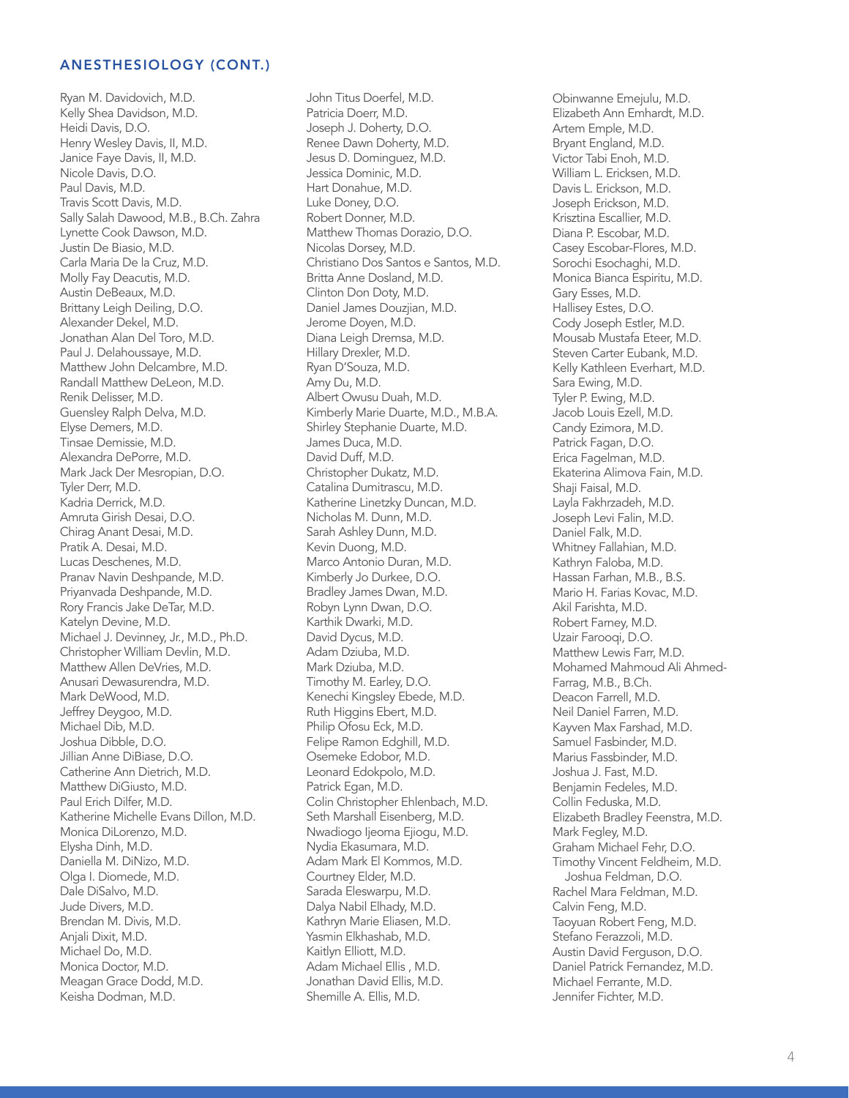R yan M. Davidovich, M.D. Kelly Shea Davidson, M.D. Heidi Davis, D.O. Henry Wesley Davis, II, M.D. Janice Faye Davis, II, M.D. Nicole Davis, D.O. Paul Davis, M.D. Travis Scott Davis, M.D. Sally Salah Dawood, M.B., B.Ch. Zahra Lynette Cook Dawson, M.D. Justin De Biasio, M.D. Carla Maria De la Cruz, M.D. Molly Fay Deacutis, M.D. Austin DeBeaux, M.D. Brittany Leigh Deiling, D.O. Alexander Dekel, M.D. Jonathan Alan Del Toro, M.D. Paul J. Delahoussaye, M.D. Matthew John Delcambre, M.D. Randall Matthew DeLeon, M.D. Renik Delisse r, M.D. Guensley Ralph Delva, M.D. Elyse Demers, M.D. Tinsae Demissie, M.D. Alexandra DePorre, M.D. Mark Jack Der Mesropian, D.O. Tyler Derr, M.D. Kadria Derrick, M.D. Amruta Girish Desai, D.O . Chirag Anant Desai, M.D. Pratik A. Desai, M.D. Lucas Deschenes, M.D. Pranav Navin Deshpande, M.D. Priyanvada Deshpande, M.D. Rory Francis Jake DeTar, M.D. Katelyn Devine, M.D. Michael J. Devinney, Jr., M.D., Ph.D. Christopher William Devlin, M.D. Matthew Allen DeVries, M.D. Anusari Dewasurendra, M.D. Mark DeWood, M.D. Jeffrey Deygoo, M.D. Michael Dib, M.D. Joshua Dibble, D.O. Jillian Anne DiBiase, D.O. Catherine Ann Dietrich, M.D. Matthew DiGiusto, M.D. Paul Erich Dilfer, M.D. Katherine Michelle Evans Dillon, M.D. Monica DiLorenzo, M.D. Elysha Dinh, M.D. Daniella M. DiNizo, M.D. Olga I. Diomede, M.D. Dale DiSalvo, M.D. Jude Divers, M.D. Brendan M. Divis, M.D. Anjali Dixit, M.D. Michael Do, M.D. Monica Docto r, M.D. Meagan Grace Dodd, M.D. Keisha Dodman, M.D.

John Titus Doerfel, M.D. Patricia Doerr, M.D. Joseph J. Doherty, D.O. Renee Dawn Doherty, M.D. Jesus D. Dominguez, M.D. Jessica Dominic, M.D. Hart Donahue, M.D. Luke Doney, D.O. Robert Donne r, M.D. Matthew Thomas Dorazio, D.O. Nicolas Dorsey, M.D. Christiano Dos Santos e Santos, M.D. Britta Anne Dosland, M.D. Clinton Don Doty, M.D. Daniel James Douzjian, M.D. Jerome Doyen, M.D. Diana Leigh Dremsa, M.D. Hillary Drexle r, M.D. Ryan D'Souza, M.D. Amy Du, M.D. Albert Owusu Duah, M.D. Kimberly Marie Duarte, M.D., M.B.A. Shirley Stephanie Duarte, M.D. James Duca, M.D. David Duff, M.D. Christopher Dukatz, M.D. Catalina Dumitrascu, M.D. Katherine Linetzky Duncan, M.D. Nicholas M. Dunn, M.D. Sarah Ashley Dunn, M.D. Kevin Duong, M.D. Marco Antonio Duran, M.D. Kimberly Jo Durkee, D.O. Bradley James Dwan, M.D. Robyn Lynn Dwan, D.O. Karthik Dwarki, M.D. David Dycus, M.D. Adam Dziuba, M.D. Mark Dziuba, M.D. Timothy M. Earley, D.O. Kenechi Kingsley Ebede, M.D. Ruth Higgins Ebert, M.D. Philip Ofosu Eck, M.D. Felipe Ramon Edghill, M.D. Osemeke Edobo r, M.D. Leonard Edokpolo, M.D. Patrick Egan, M.D. Colin Christopher Ehlenbach, M.D. Seth Marshall Eisenberg, M.D. Nwadiogo Ijeoma Ejiogu, M.D. Nydia Ekasumara, M.D. Adam Mark El Kommos, M.D. Courtney Elder, M.D. Sarada Eleswarpu, M.D. Dalya Nabil Elhady, M.D. Kathryn Marie Eliasen, M.D. Yasmin Elkhashab, M.D. Kaitlyn Elliott, M.D. Adam Michael Ellis , M.D. Jonathan David Ellis, M.D. Shemille A. Ellis, M.D.

Obinwanne Emejulu, M.D. Elizabeth Ann Emhardt, M.D. Artem Emple, M.D. Bryant England, M.D. Victor Tabi Enoh, M.D. William L. Ericksen, M.D. Davis L. Erickson, M.D. Joseph Erickson, M.D. Krisztina Escallier, M.D. Diana P. Escobar, M.D. Casey Escobar-Flores, M.D. Sorochi Esochaghi, M.D . Monica Bianca Espirit u, M.D. Gary Esses, M.D. Hallisey Estes, D.O. Cody Joseph Estler, M .D. Mousab Mustafa Etee r, M.D . Steven Carter Eubank , M.D. Kelly Kathleen Everhart, M.D. Sara Ewing, M.D. Tyler P. Ewing, M.D. Jacob Louis Ezell, M.D. Candy Ezimora, M.D. Patrick Fagan, D.O. Erica Fagelman, M.D. Ekaterina Alimova Fain, M.D. Shaji Faisal, M.D. Layla Fakhrzadeh, M.D. Joseph Levi Falin, M.D. Daniel Falk, M.D. Whitney Fallahian, M.D. Kathryn Faloba, M.D. Hassan Farhan, M.B., B. S . Mario H. Farias Kovac, M.D. Akil Farishta, M.D. Robert Farne y, M.D. Uzair Farooqi, D.O. Matthew Lewis Farr, M.D. Mohamed Mahmoud Ali A hmed - Farrag, M.B., B.Ch. Deacon Farrell, M.D. Neil Daniel Farren, M.D . Kayven Max Farshad, M.D. Samuel Fasbinder, M.D. Marius Fassbinde r, M.D. Joshua J. Fast, M.D. Ben jamin Fedeles, M.D. Collin Feduska, M.D. Elizabeth Bradley Feenstra, M.D. Mark Fegle y, M.D. Graham Michael Feh r, D . O . Timothy Vincent Feldheim , M.D. Joshua Feldman, D.O. Rachel Mara Feldman, M .D. Calvin Feng, M.D. Taoyuan Robert Feng, M.D. Stefano Ferazzoli, M.D. Austin David Ferguson , D.O. Daniel Patrick Fernandez, M.D. Michael Ferrante, M.D . Jennifer Fichte r, M.D.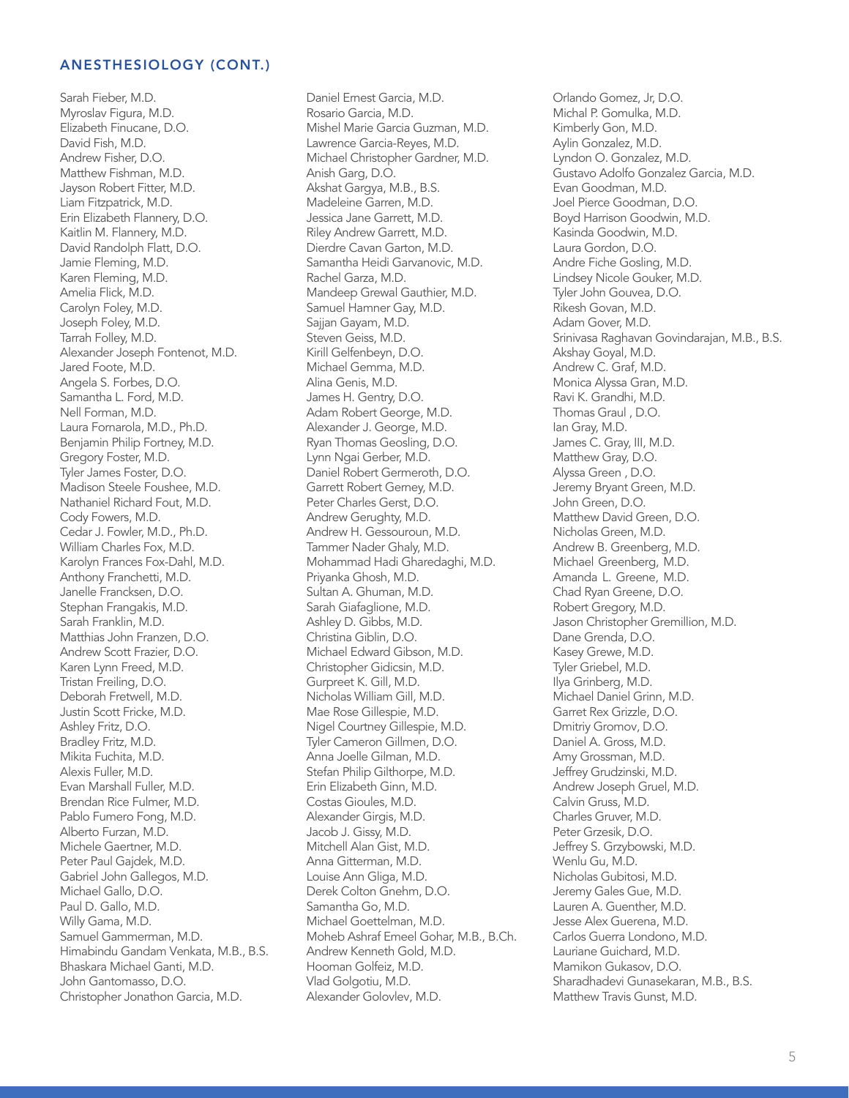Sarah Fieber, M.D. Myroslav Figura, M.D. Elizabeth Finucane, D.O. David Fish, M.D. Andrew Fisher, D.O. Matthew Fishman, M.D. Jayson Robert Fitter, M.D. Liam Fitzpatrick, M.D. Erin Elizabeth Flannery, D.O. Kaitlin M. Flannery, M.D. David Randolph Flatt, D.O. Jamie Fleming, M.D. Karen Fleming, M.D. Amelia Flick, M.D. Carolyn Foley, M.D. Joseph Foley, M.D. Tarrah Folley, M.D. Alexander Joseph Fontenot, M.D. Jared Foote, M.D. Angela S. Forbes, D.O. Samantha L. Ford, M.D. Nell Forman, M.D. Laura Fornarola, M.D., Ph.D. Benjamin Philip Fortney, M.D. Gregory Foster, M.D. Tyler James Foster, D.O. Madison Steele Foushee, M.D. Nathaniel Richard Fout, M.D. Cody Fowers, M.D. Cedar J. Fowler, M.D., Ph.D. William Charles Fox, M.D. Karolyn Frances Fox-Dahl, M.D. Anthony Franchetti, M.D. Janelle Francksen, D.O. Stephan Frangakis, M.D. Sarah Franklin, M.D. Matthias John Franzen, D.O. Andrew Scott Frazier, D.O. Karen Lynn Freed, M.D. Tristan Freiling, D.O. Deborah Fretwell, M.D. Justin Scott Fricke, M.D. Ashley Fritz, D.O. Bradley Fritz, M.D. Mikita Fuchita, M.D. Alexis Fuller, M.D. Evan Marshall Fuller, M.D. Brendan Rice Fulmer, M.D. Pablo Fumero Fong, M.D. Alberto Furzan, M.D. Michele Gaertner, M.D. Peter Paul Gajdek, M.D. Gabriel John Gallegos, M.D. Michael Gallo, D.O. Paul D. Gallo, M.D. Willy Gama, M.D. Samuel Gammerman, M.D. Himabindu Gandam Venkata, M.B., B.S. Bhaskara Michael Ganti, M.D. John Gantomasso, D.O. Christopher Jonathon Garcia, M.D.

Daniel Ernest Garcia, M.D. Rosario Garcia, M.D. Mishel Marie Garcia Guzman, M.D. Lawrence Garcia-Reyes, M.D. Michael Christopher Gardner, M.D. Anish Garg, D.O. Akshat Gargya, M.B., B.S. Madeleine Garren, M.D. Jessica Jane Garrett, M.D. Riley Andrew Garrett, M.D. Dierdre Cavan Garton, M.D. Samantha Heidi Garvanovic, M.D. Rachel Garza, M.D. Mandeep Grewal Gauthier, M.D. Samuel Hamner Gay, M.D. Sajjan Gayam, M.D. Steven Geiss, M.D. Kirill Gelfenbeyn, D.O. Michael Gemma, M.D. Alina Genis, M.D. James H. Gentry, D.O. Adam Robert George, M.D. Alexander J. George, M.D. Ryan Thomas Geosling, D.O. Lynn Ngai Gerber, M.D. Daniel Robert Germeroth, D.O. Garrett Robert Gerney, M.D. Peter Charles Gerst, D.O. Andrew Gerughty, M.D. Andrew H. Gessouroun, M.D. Tammer Nader Ghaly, M.D. Mohammad Hadi Gharedaghi, M.D. Priyanka Ghosh, M.D. Sultan A. Ghuman, M.D. Sarah Giafaglione, M.D. Ashley D. Gibbs, M.D. Christina Giblin, D.O. Michael Edward Gibson, M.D. Christopher Gidicsin, M.D. Gurpreet K. Gill, M.D. Nicholas William Gill, M.D. Mae Rose Gillespie, M.D. Nigel Courtney Gillespie, M.D. Tyler Cameron Gillmen, D.O. Anna Joelle Gilman, M.D. Stefan Philip Gilthorpe, M.D. Erin Elizabeth Ginn, M.D. Costas Gioules, M.D. Alexander Girgis, M.D. Jacob J. Gissy, M.D. Mitchell Alan Gist, M.D. Anna Gitterman, M.D. Louise Ann Gliga, M.D. Derek Colton Gnehm, D.O. Samantha Go, M.D. Michael Goettelman, M.D. Moheb Ashraf Emeel Gohar, M.B., B.Ch. Andrew Kenneth Gold, M.D. Hooman Golfeiz, M.D. Vlad Golgotiu, M.D. Alexander Golovlev, M.D.

Orlando Gomez, Jr, D.O. Michal P. Gomulka, M.D. Kimberly Gon, M.D. Aylin Gonzalez, M.D. Lyndon O. Gonzalez, M.D. Gustavo Adolfo Gonzalez Garcia, M.D. Evan Goodman, M.D. Joel Pierce Goodman, D.O. Boyd Harrison Goodwin, M.D. Kasinda Goodwin, M.D. Laura Gordon, D.O. Andre Fiche Gosling, M.D. Lindsey Nicole Gouker, M.D. Tyler John Gouvea, D.O. Rikesh Govan, M.D. Adam Gover, M.D. Srinivasa Raghavan Govindarajan, M.B., B.S. Akshay Goyal, M.D. Andrew C. Graf, M.D. Monica Alyssa Gran, M.D. Ravi K. Grandhi, M.D. Thomas Graul , D.O. Ian Gray, M.D. James C. Gray, III, M.D. Matthew Gray, D.O. Alyssa Green , D.O. Jeremy Bryant Green, M.D. John Green, D.O. Matthew David Green, D.O. Nicholas Green, M.D. Andrew B. Greenberg, M.D. Michael Greenberg, M.D. Amanda L. Greene, M.D. Chad Ryan Greene, D.O. Robert Gregory, M.D. Jason Christopher Gremillion, M.D. Dane Grenda, D.O. Kasey Grewe, M.D. Tyler Griebel, M.D. Ilya Grinberg, M.D. Michael Daniel Grinn, M.D. Garret Rex Grizzle, D.O. Dmitriy Gromov, D.O. Daniel A. Gross, M.D. Amy Grossman, M.D. Jeffrey Grudzinski, M.D. Andrew Joseph Gruel, M.D. Calvin Gruss, M.D. Charles Gruver, M.D. Peter Grzesik, D.O. Jeffrey S. Grzybowski, M.D. Wenlu Gu, M.D. Nicholas Gubitosi, M.D. Jeremy Gales Gue, M.D. Lauren A. Guenther, M.D. Jesse Alex Guerena, M.D. Carlos Guerra Londono, M.D. Lauriane Guichard, M.D. Mamikon Gukasov, D.O. Sharadhadevi Gunasekaran, M.B., B.S. Matthew Travis Gunst, M.D.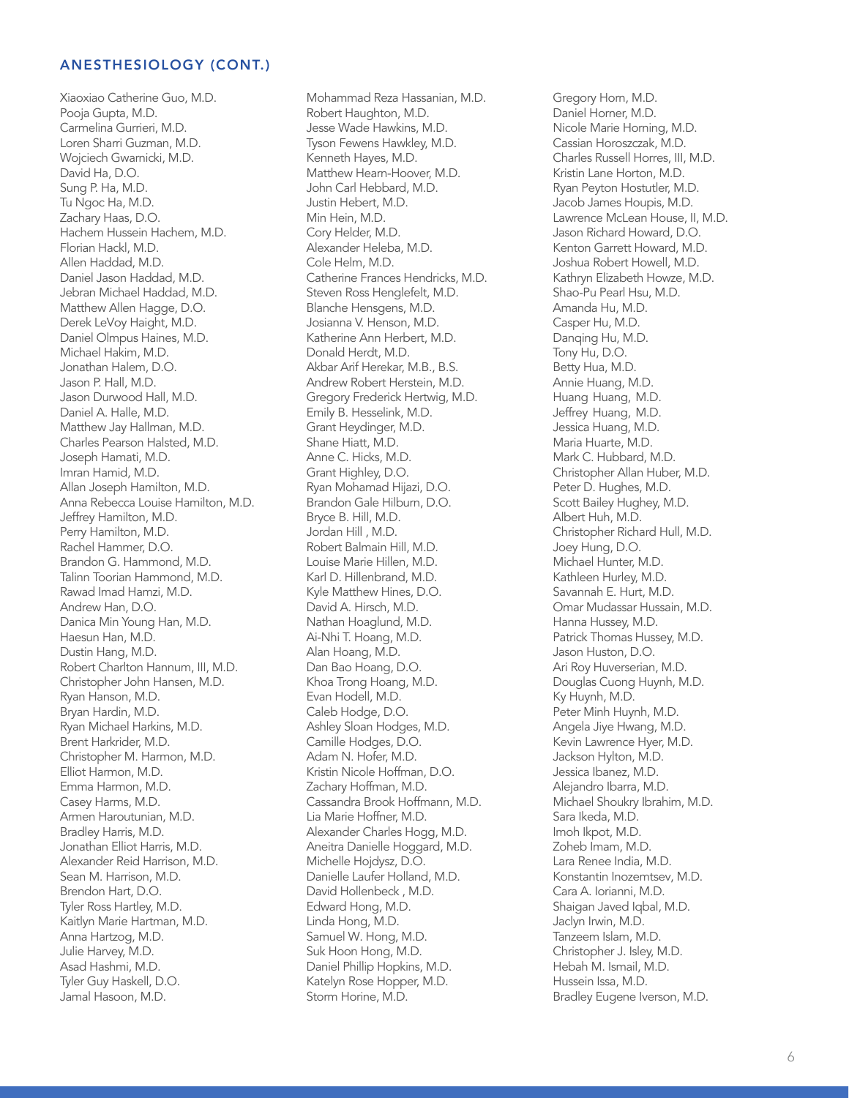Xiaoxiao Catherine Guo, M.D. Pooja Gupta, M.D. Carmelina Gurrieri, M.D. Loren Sharri Guzman, M.D. Wojciech Gwarnicki, M.D. David Ha, D.O. Sung P. Ha, M.D. Tu Ngoc Ha, M.D. Zachary Haas, D.O. Hachem Hussein Hachem, M.D. Florian Hackl, M.D. Allen Haddad, M.D. Daniel Jason Haddad, M.D. Jebran Michael Haddad, M.D. Matthew Allen Hagge, D.O. Derek LeVoy Haight, M.D. Daniel Olmpus Haines, M.D. Michael Hakim, M.D. Jonathan Halem, D.O. Jason P. Hall, M.D. Jason Durwood Hall, M.D . Daniel A. Halle, M.D. Matthew Jay Hallman, M.D. Charles Pearson Halsted, M.D. Joseph Hamati, M.D. Imran Hamid, M.D. Allan Joseph Hamilton, M.D. Anna Rebecca Louise Hamilton, M.D. Jeffrey Hamilton, M.D. Perry Hamilton, M.D. Rachel Hamme r, D.O. Brandon G. Hammond, M.D . Talinn Toorian Hammond, M.D . Rawad Imad Hamzi, M.D. Andrew Han, D.O. Danica Min Young Ha n , M.D. Haesun Han, M.D. Dustin Hang, M.D. Robert Charlton Hannum, III, M.D. Christopher John Hansen, M.D. Ryan Hanson, M.D. Bryan Hardin, M.D. Ryan Michael Harkins, M.D. Brent Harkride r, M.D. Christopher M. Harmon, M.D. Elliot Harmon, M.D. Emma Harmon, M.D. Casey Harms, M.D. Armen Haroutunian, M.D . Bradley Harris, M.D. Jonathan Elliot Harris, M.D. Alexander Reid Harrison, M.D. Sean M. Harrison, M.D. Brendon Hart, D.O. Tyler Ross Hartley, M.D. Kaitlyn Marie Hartman, M.D. Anna Hartzog, M.D. Julie Harvey, M.D. Asad Hashmi, M.D. Tyler Guy Haskell, D.O. Jamal Hasoon, M.D.

Mohammad Reza Hassanian, M.D. Robert Haughton, M.D. Jesse Wade Hawkins, M.D. Tyson Fewens Hawkley, M.D. Kenneth Hayes, M.D. Matthew Hearn-Hoove r, M .D. John Carl Hebbard, M.D. Justin Hebert, M.D. Min Hein, M.D. Cory Helde r, M.D. Alexander Heleba, M.D. Cole Helm, M.D. Catherine Frances Hendricks, M.D. Steven Ross Henglefelt, M.D. Blanche Hensgens, M.D. Josianna V. Henson, M.D . Katherine Ann Herbert , M.D. Donald Herdt, M.D. Akbar Arif Hereka r, M.B., B.S. Andrew Robert Herstein, M.D. Gregory Frederick Hertwig, M.D. Emily B. Hesselink, M.D. Grant Heydinger, M.D. Shane Hiatt, M.D. An ne C. Hicks, M.D. Grant Highle y, D.O. Ryan Mohamad Hijazi, D.O. Brandon Gale Hilburn, D.O. Bryce B. Hill, M.D. Jordan Hill , M.D. Robert Balmain Hill, M.D . Louise Marie Hillen, M.D . Karl D. Hillenbrand, M .D. Kyle Matthew Hines, D.O. David A. Hirsch, M.D. Nathan Hoaglund, M.D. Ai-Nhi T. Hoang, M.D. Alan Hoang, M.D. Dan Bao Hoang, D.O. Khoa Trong Hoang, M.D. Evan Hodell, M.D. Caleb Hodge, D.O. Ashley Sloan Hodges, M.D. Camille Hodges, D.O. Adam N. Hofe r, M.D. Kristin Nicole Hoffman , D.O. Zachary Hoffman, M.D. Cassandra Brook Hoffman n, M.D. Lia Marie Hoffne r, M.D. Alexander Charles Hogg, M.D. Aneitra Danielle Hoggard, M.D. Michelle Hojdysz, D.O. Danielle Laufer Holla nd, M.D. David Hollenbeck , M.D . Edward Hong, M.D. Linda Hong, M.D. Samuel W. Hong, M.D. Suk Hoon Hong, M.D. Daniel Phillip Hopkins, M.D. Katelyn Rose Hopper, M.D. Storm Horine, M.D.

Gregory Horn, M.D. Daniel Horner, M.D. Nicole Marie Horning, M.D. Cassian Horoszczak, M.D. Charles Russell Horres, III, M.D. Kristin Lane Horton, M.D. Ryan Peyton Hostutle r, M.D. Jacob James Houpis, M.D. Lawrence McLean House, II, M.D. Jason Richard Howard, D.O. Kenton Garrett Howard, M.D. Joshua Robert Howell, M.D. Kathryn Elizabeth Howze, M.D. Shao-Pu Pearl Hsu, M.D. Amanda Hu, M.D. Casper Hu, M.D. Danqing Hu, M.D. Tony Hu, D.O. Betty Hua, M.D. Annie Huang, M.D. Huang Huang, M.D. Jeffrey Huang, M.D. Jessica Huang, M.D. Maria Huarte, M.D. Mark C. Hubbard, M.D. Christopher Allan Hube r, M.D. Peter D. Hughes, M.D . Scott Bailey Hughe y, M .D. Albert Huh, M.D. Christopher Richard Hull, M.D. Joey Hung, D.O. Michael Hunte r, M.D. Kathleen Hurle y, M.D. Savannah E. Hurt, M.D . Omar Mudassar Hussain , M.D. Hanna Husse y, M.D. Patrick Thomas Hussey, M.D. Jason Huston, D.O. Ari Roy Huverserian, M.D . Douglas Cuong Huynh, M.D . Ky Huynh, M.D. Peter Minh Huynh, M.D. Angela Jiye Hwang, M .D. Kevin Lawrence Hye r, M.D. Jackson Hylton, M.D. Jessica Ibanez, M.D. Alejandro Ibarra, M.D. Michael Shoukry Ibrahim, M.D. Sara Ikeda, M.D. Imoh Ikpot, M.D. Zoheb Imam, M.D. Lara Renee India, M.D. Konstantin Inozemtsev, M.D. Cara A. Iorianni, M.D. Shaigan Javed Iqbal, M.D. Jaclyn Irwin, M.D. Tanzeem Islam, M.D. Christopher J. Isley, M.D. Hebah M. Ismail, M.D. Hussein Issa, M.D. Bradley Eugene Iverson , M.D.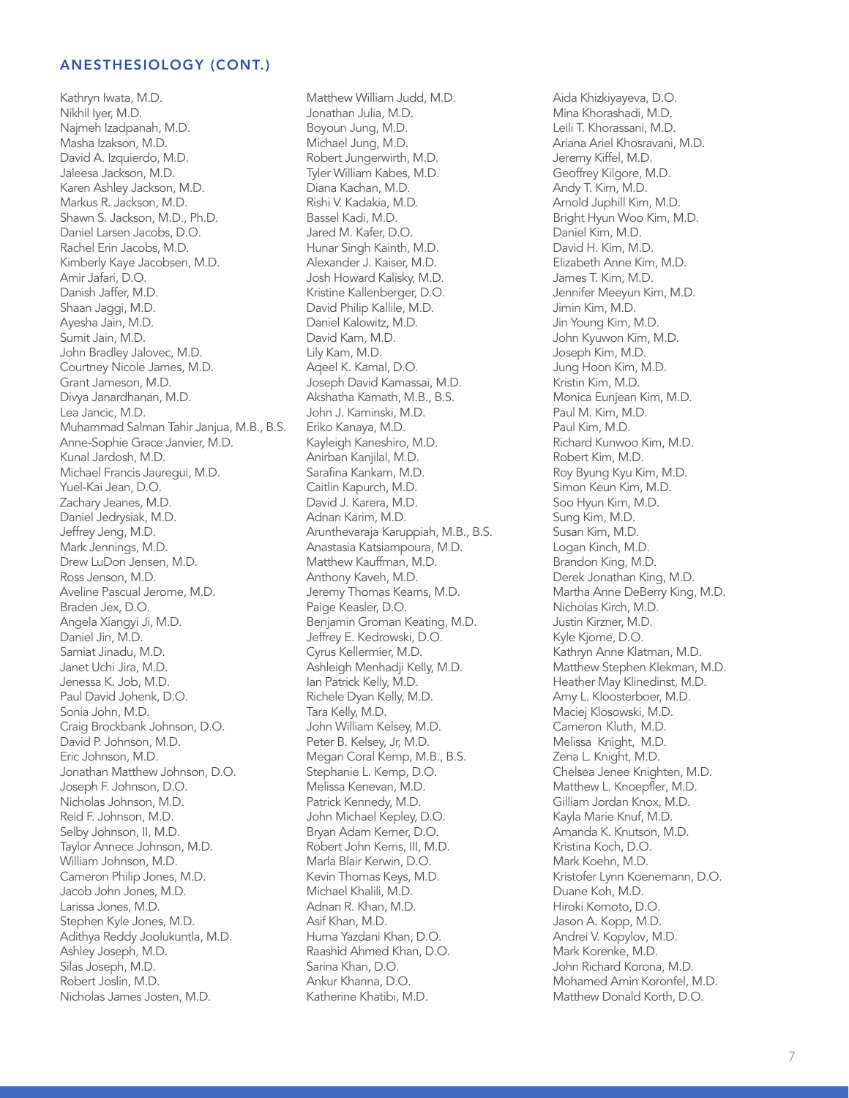Kathryn Iwata, M.D. Nikhil Iyer, M.D. Najmeh Izadpanah, M.D. Masha Izakson, M.D. David A. Izquierdo, M.D. Jaleesa Jackson, M.D. Karen Ashley Jackson, M.D. Markus R. Jackson, M.D. Shawn S. Jackson, M.D., Ph.D. Daniel Larsen Jacobs, D.O. Rachel Erin Jacobs, M.D. Kimberly Kaye Jacobsen, M.D. Amir Jafari, D.O. Danish Jaffer, M.D. Shaan Jaggi, M.D. Ayesha Jain, M.D. Sumit Jain, M.D. John Bradley Jalovec, M.D. Courtney Nicole James, M.D. Grant Jameson, M.D. Divya Janardhanan, M.D. Lea Jancic, M.D. Muhammad Salman Tahir Janjua, M.B., B.S. Anne-Sophie Grace Janvier, M.D. Kunal Jardosh, M.D. Michael Francis Jauregui, M.D. Yuel-Kai Jean, D.O. Zachary Jeanes, M.D. Daniel Jedrysiak, M.D. Jeffrey Jeng, M.D. Mark Jennings, M.D. Drew LuDon Jensen, M.D. Ross Jenson, M.D. Aveline Pascual Jerome, M.D. Braden Jex, D.O. Angela Xiangyi Ji, M.D. Daniel Jin, M.D. Samiat Jinadu, M.D. Janet Uchi Jira, M.D. Jenessa K. Job, M.D. Paul David Johenk, D.O. Sonia John, M.D. Craig Brockbank Johnson, D.O. David P. Johnson, M.D. Eric Johnson, M.D. Jonathan Matthew Johnson, D.O. Joseph F. Johnson, D.O. Nicholas Johnson, M.D. Reid F. Johnson, M.D. Selby Johnson, II, M.D. Taylor Annece Johnson, M.D. William Johnson, M.D. Cameron Philip Jones, M.D. Jacob John Jones, M.D. Larissa Jones, M.D. Stephen Kyle Jones, M.D. Adithya Reddy Joolukuntla, M.D. Ashley Joseph, M.D. Silas Joseph, M.D. Robert Joslin, M.D. Nicholas James Josten, M.D.

Matthew William Judd, M.D. Jonathan Julia, M.D. Boyoun Jung, M.D. Michael Jung, M.D. Robert Jungerwirth, M.D. Tyler William Kabes, M.D. Diana Kachan, M.D. Rishi V. Kadakia, M.D. Bassel Kadi, M.D. Jared M. Kafer, D.O. Hunar Singh Kainth, M.D. Alexander J. Kaiser, M.D. Josh Howard Kalisky, M.D. Kristine Kallenberger, D.O. David Philip Kallile, M.D. Daniel Kalowitz, M.D. David Kam, M.D. Lily Kam, M.D. Aqeel K. Kamal, D.O. Joseph David Kamassai, M.D. Akshatha Kamath, M.B., B.S. John J. Kaminski, M.D. Eriko Kanaya, M.D. Kayleigh Kaneshiro, M.D. Anirban Kanjilal, M.D. Sarafina Kankam, M.D. Caitlin Kapurch, M.D. David J. Karera, M.D. Adnan Karim, M.D. Arunthevaraja Karuppiah, M.B., B.S. Anastasia Katsiampoura, M.D. Matthew Kauffman, M.D. Anthony Kaveh, M.D. Jeremy Thomas Kearns, M.D. Paige Keasler, D.O. Benjamin Groman Keating, M.D. Jeffrey E. Kedrowski, D.O. Cyrus Kellermier, M.D. Ashleigh Menhadji Kelly, M.D. Ian Patrick Kelly, M.D. Richele Dyan Kelly, M.D. Tara Kelly, M.D. John William Kelsey, M.D. Peter B. Kelsey, Jr, M.D. Megan Coral Kemp, M.B., B.S. Stephanie L. Kemp, D.O. Melissa Kenevan, M.D. Patrick Kennedy, M.D. John Michael Kepley, D.O. Bryan Adam Kerner, D.O. Robert John Kerris, III, M.D. Marla Blair Kerwin, D.O. Kevin Thomas Keys, M.D. Michael Khalili, M.D. Adnan R. Khan, M.D. Asif Khan, M.D. Huma Yazdani Khan, D.O. Raashid Ahmed Khan, D.O. Sarina Khan, D.O. Ankur Khanna, D.O. Katherine Khatibi, M.D.

Aida Khizkiyayeva, D.O. Mina Khorashadi, M.D. Leili T. Khorassani, M.D. Ariana Ariel Khosravani, M.D. Jeremy Kiffel, M.D. Geoffrey Kilgore, M.D. Andy T. Kim, M.D. Arnold Juphill Kim, M.D. Bright Hyun Woo Kim, M.D. Daniel Kim, M.D. David H. Kim, M.D. Elizabeth Anne Kim, M.D. James T. Kim, M.D. Jennifer Meeyun Kim, M.D. Jimin Kim, M.D. Jin Young Kim, M.D. John Kyuwon Kim, M.D. Joseph Kim, M.D. Jung Hoon Kim, M.D. Kristin Kim, M.D. Monica Eunjean Kim, M.D. Paul M. Kim, M.D. Paul Kim, M.D. Richard Kunwoo Kim, M.D. Robert Kim, M.D. Roy Byung Kyu Kim, M.D. Simon Keun Kim, M.D. Soo Hyun Kim, M.D. Sung Kim, M.D. Susan Kim, M.D. Logan Kinch, M.D. Brandon King, M.D. Derek Jonathan King, M.D. Martha Anne DeBerry King, M.D. Nicholas Kirch, M.D. Justin Kirzner, M.D. Kyle Kjome, D.O. Kathryn Anne Klatman, M.D. Matthew Stephen Klekman, M.D. Heather May Klinedinst, M.D. Amy L. Kloosterboer, M.D. Maciej Klosowski, M.D. Cameron Kluth, M.D. Melissa Knight, M.D. Zena L. Knight, M.D. Chelsea Jenee Knighten, M.D. Matthew L. Knoepfler, M.D. Gilliam Jordan Knox, M.D. Kayla Marie Knuf, M.D. Amanda K. Knutson, M.D. Kristina Koch, D.O. Mark Koehn, M.D. Kristofer Lynn Koenemann, D.O. Duane Koh, M.D. Hiroki Komoto, D.O. Jason A. Kopp, M.D. Andrei V. Kopylov, M.D. Mark Korenke, M.D. John Richard Korona, M.D. Mohamed Amin Koronfel, M.D. Matthew Donald Korth, D.O.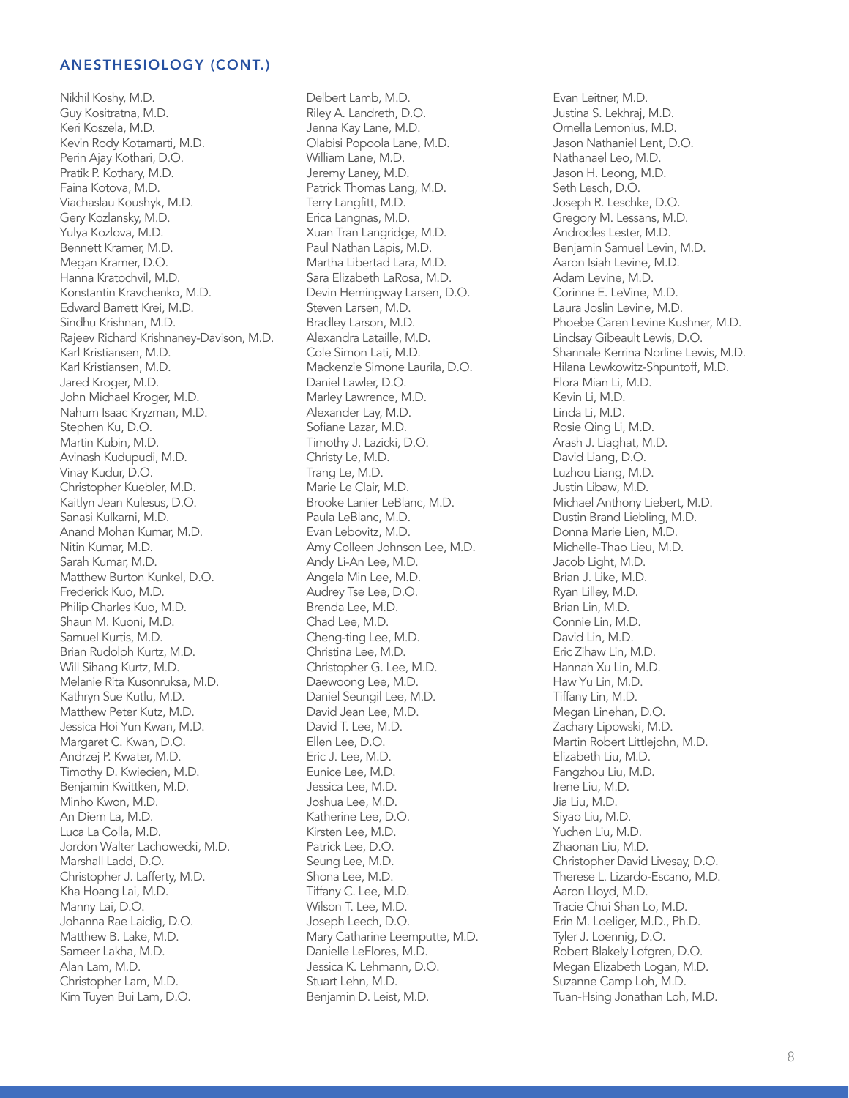Nikhil Koshy, M.D. Guy Kositratna, M.D. Keri Koszela, M.D. Kevin Rody Kotamarti, M.D. Perin Ajay Kothari, D.O. Pratik P. Kothary, M.D. Faina Kotova, M.D. Viachaslau Koushyk, M.D. Gery Kozlansky, M.D. Yulya Kozlova, M.D. Bennett Kramer, M.D. Megan Kramer, D.O. Hanna Kratochvil, M.D. Konstantin Kravchenko, M.D. Edward Barrett Krei, M.D. Sindhu Krishnan, M.D. Rajeev Richard Krishnaney-Davison, M.D. Karl Kristiansen, M.D. Karl Kristiansen, M.D. Jared Kroger, M.D. John Michael Kroger, M.D. Nahum Isaac Kryzman, M.D. Stephen Ku, D.O. Martin Kubin, M.D. Avinash Kudupudi, M.D. Vinay Kudur, D.O. Christopher Kuebler, M.D. Kaitlyn Jean Kulesus, D.O. Sanasi Kulkarni, M.D. Anand Mohan Kumar, M.D. Nitin Kumar, M.D. Sarah Kumar, M.D. Matthew Burton Kunkel, D.O. Frederick Kuo, M.D. Philip Charles Kuo, M.D. Shaun M. Kuoni, M.D. Samuel Kurtis, M.D. Brian Rudolph Kurtz, M.D. Will Sihang Kurtz, M.D. Melanie Rita Kusonruksa, M.D. Kathryn Sue Kutlu, M.D. Matthew Peter Kutz, M.D. Jessica Hoi Yun Kwan, M.D. Margaret C. Kwan, D.O. Andrzej P. Kwater, M.D. Timothy D. Kwiecien, M.D. Benjamin Kwittken, M.D. Minho Kwon, M.D. An Diem La, M.D. Luca La Colla, M.D. Jordon Walter Lachowecki, M.D. Marshall Ladd, D.O. Christopher J. Lafferty, M.D. Kha Hoang Lai, M.D. Manny Lai, D.O. Johanna Rae Laidig, D.O. Matthew B. Lake, M.D. Sameer Lakha, M.D. Alan Lam, M.D. Christopher Lam, M.D. Kim Tuyen Bui Lam, D.O.

Delbert Lamb, M.D. Riley A. Landreth, D.O. Jenna Kay Lane, M.D. Olabisi Popoola Lane, M.D. William Lane, M.D. Jeremy Laney, M.D. Patrick Thomas Lang, M.D. Terry Langfitt, M.D. Erica Langnas, M.D. Xuan Tran Langridge, M.D. Paul Nathan Lapis, M.D. Martha Libertad Lara, M.D. Sara Elizabeth LaRosa, M.D. Devin Hemingway Larsen, D.O. Steven Larsen, M.D. Bradley Larson, M.D. Alexandra Lataille, M.D. Cole Simon Lati, M.D. Mackenzie Simone Laurila, D.O. Daniel Lawler, D.O. Marley Lawrence, M.D. Alexander Lay, M.D. Sofiane Lazar, M.D. Timothy J. Lazicki, D.O. Christy Le, M.D. Trang Le, M.D. Marie Le Clair, M.D. Brooke Lanier LeBlanc, M.D. Paula LeBlanc, M.D. Evan Lebovitz, M.D. Amy Colleen Johnson Lee, M.D. Andy Li-An Lee, M.D. Angela Min Lee, M.D. Audrey Tse Lee, D.O. Brenda Lee, M.D. Chad Lee, M.D. Cheng-ting Lee, M.D. Christina Lee, M.D. Christopher G. Lee, M.D. Daewoong Lee, M.D. Daniel Seungil Lee, M.D. David Jean Lee, M.D. David T. Lee, M.D. Ellen Lee, D.O. Eric J. Lee, M.D. Eunice Lee, M.D. Jessica Lee, M.D. Joshua Lee, M.D. Katherine Lee, D.O. Kirsten Lee, M.D. Patrick Lee, D.O. Seung Lee, M.D. Shona Lee, M.D. Tiffany C. Lee, M.D. Wilson T. Lee, M.D. Joseph Leech, D.O. Mary Catharine Leemputte, M.D. Danielle LeFlores, M.D. Jessica K. Lehmann, D.O. Stuart Lehn, M.D. Benjamin D. Leist, M.D.

Evan Leitner, M.D. Justina S. Lekhraj, M.D. Ornella Lemonius, M.D. Jason Nathaniel Lent, D.O. Nathanael Leo, M.D. Jason H. Leong, M.D. Seth Lesch, D.O. Joseph R. Leschke, D.O. Gregory M. Lessans, M.D. Androcles Lester, M.D. Benjamin Samuel Levin, M.D. Aaron Isiah Levine, M.D. Adam Levine, M.D. Corinne E. LeVine, M.D. Laura Joslin Levine, M.D. Phoebe Caren Levine Kushner, M.D. Lindsay Gibeault Lewis, D.O. Shannale Kerrina Norline Lewis, M.D. Hilana Lewkowitz-Shpuntoff, M.D. Flora Mian Li, M.D. Kevin Li, M.D. Linda Li, M.D. Rosie Qing Li, M.D. Arash J. Liaghat, M.D. David Liang, D.O. Luzhou Liang, M.D. Justin Libaw, M.D. Michael Anthony Liebert, M.D. Dustin Brand Liebling, M.D. Donna Marie Lien, M.D. Michelle-Thao Lieu, M.D. Jacob Light, M.D. Brian J. Like, M.D. Ryan Lilley, M.D. Brian Lin, M.D. Connie Lin, M.D. David Lin, M.D. Eric Zihaw Lin, M.D. Hannah Xu Lin, M.D. Haw Yu Lin, M.D. Tiffany Lin, M.D. Megan Linehan, D.O. Zachary Lipowski, M.D. Martin Robert Littlejohn, M.D. Elizabeth Liu, M.D. Fangzhou Liu, M.D. Irene Liu, M.D. Jia Liu, M.D. Siyao Liu, M.D. Yuchen Liu, M.D. Zhaonan Liu, M.D. Christopher David Livesay, D.O. Therese L. Lizardo-Escano, M.D. Aaron Lloyd, M.D. Tracie Chui Shan Lo, M.D. Erin M. Loeliger, M.D., Ph.D. Tyler J. Loennig, D.O. Robert Blakely Lofgren, D.O. Megan Elizabeth Logan, M.D. Suzanne Camp Loh, M.D. Tuan-Hsing Jonathan Loh, M.D.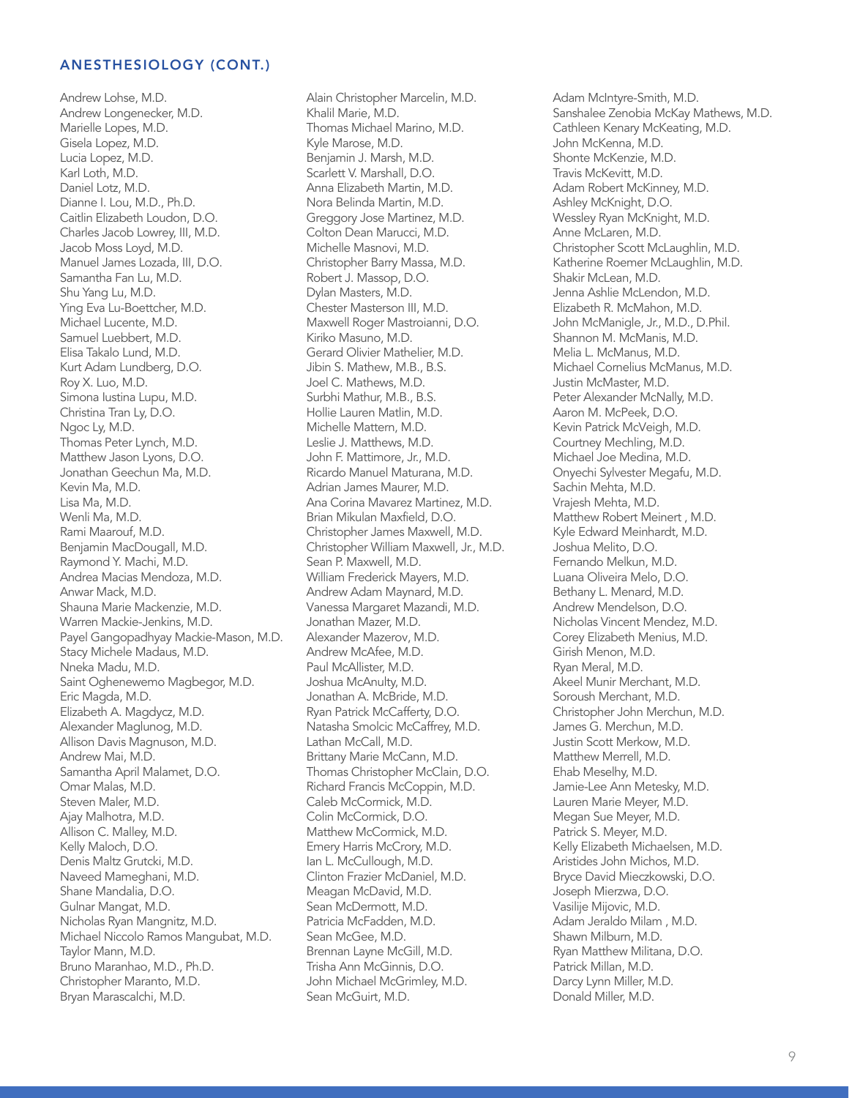Andrew Lohse, M.D. Andrew Longenecker, M.D. Marielle Lopes, M.D. Gisela Lopez, M.D. Lucia Lopez, M.D. Karl Loth, M.D. Daniel Lotz, M.D. Dianne I. Lou, M.D., Ph.D. Caitlin Elizabeth Loudon, D.O. Charles Jacob Lowrey, III, M.D. Jacob Moss Loyd, M.D. Manuel James Lozada, III, D.O. Samantha Fan Lu, M.D. Shu Yang Lu, M.D. Ying Eva Lu-Boettcher, M.D. Michael Lucente, M.D. Samuel Luebbert, M.D. Elisa Takalo Lund, M.D. Kurt Adam Lundberg, D.O. Roy X. Luo, M.D. Simona Iustina Lupu, M.D. Christina Tran Ly, D.O. Ngoc Ly, M.D. Thomas Peter Lynch, M.D. Matthew Jason Lyons, D.O. Jonathan Geechun Ma, M.D. Kevin Ma, M.D. Lisa Ma, M.D. Wenli Ma, M.D. Rami Maarouf, M.D. Benjamin MacDougall, M.D. Raymond Y. Machi, M.D. Andrea Macias Mendoza, M.D. Anwar Mack, M.D. Shauna Marie Mackenzie, M.D. Warren Mackie-Jenkins, M.D. Payel Gangopadhyay Mackie-Mason, M.D. Stacy Michele Madaus, M.D. Nneka Madu, M.D. Saint Oghenewemo Magbegor, M.D. Eric Magda, M.D. Elizabeth A. Magdycz, M.D. Alexander Maglunog, M.D. Allison Davis Magnuson, M.D. Andrew Mai, M.D. Samantha April Malamet, D.O. Omar Malas, M.D. Steven Maler, M.D. Ajay Malhotra, M.D. Allison C. Malley, M.D. Kelly Maloch, D.O. Denis Maltz Grutcki, M.D. Naveed Mameghani, M.D. Shane Mandalia, D.O. Gulnar Mangat, M.D. Nicholas Ryan Mangnitz, M.D. Michael Niccolo Ramos Mangubat, M.D. Taylor Mann, M.D. Bruno Maranhao, M.D., Ph.D. Christopher Maranto, M.D. Bryan Marascalchi, M.D.

Alain Christopher Marcelin, M.D. Khalil Marie, M.D. Thomas Michael Marino, M.D. Kyle Marose, M.D. Benjamin J. Marsh, M.D. Scarlett V. Marshall, D.O. Anna Elizabeth Martin, M.D. Nora Belinda Martin, M.D. Greggory Jose Martinez, M.D. Colton Dean Marucci, M.D. Michelle Masnovi, M.D. Christopher Barry Massa, M.D. Robert J. Massop, D.O. Dylan Masters, M.D. Chester Masterson III, M.D. Maxwell Roger Mastroianni, D.O. Kiriko Masuno, M.D. Gerard Olivier Mathelier, M.D. Jibin S. Mathew, M.B., B.S. Joel C. Mathews, M.D. Surbhi Mathur, M.B., B.S. Hollie Lauren Matlin, M.D. Michelle Mattern, M.D. Leslie J. Matthews, M.D. John F. Mattimore, Jr., M.D. Ricardo Manuel Maturana, M.D. Adrian James Maurer, M.D. Ana Corina Mavarez Martinez, M.D. Brian Mikulan Maxfield, D.O. Christopher James Maxwell, M.D. Christopher William Maxwell, Jr., M.D. Sean P. Maxwell, M.D. William Frederick Mayers, M.D. Andrew Adam Maynard, M.D. Vanessa Margaret Mazandi, M.D. Jonathan Mazer, M.D. Alexander Mazerov, M.D. Andrew McAfee, M.D. Paul McAllister, M.D. Joshua McAnulty, M.D. Jonathan A. McBride, M.D. Ryan Patrick McCafferty, D.O. Natasha Smolcic McCaffrey, M.D. Lathan McCall, M.D. Brittany Marie McCann, M.D. Thomas Christopher McClain, D.O. Richard Francis McCoppin, M.D. Caleb McCormick, M.D. Colin McCormick, D.O. Matthew McCormick, M.D. Emery Harris McCrory, M.D. Ian L. McCullough, M.D. Clinton Frazier McDaniel, M.D. Meagan McDavid, M.D. Sean McDermott, M.D. Patricia McFadden, M.D. Sean McGee, M.D. Brennan Layne McGill, M.D. Trisha Ann McGinnis, D.O. John Michael McGrimley, M.D. Sean McGuirt, M.D.

Adam McIntyre-Smith, M.D. Sanshalee Zenobia McKay Mathews, M.D. Cathleen Kenary McKeating, M.D. John McKenna, M.D. Shonte McKenzie, M.D. Travis McKevitt, M.D. Adam Robert McKinney, M.D. Ashley McKnight, D.O. Wessley Ryan McKnight, M.D. Anne McLaren, M.D. Christopher Scott McLaughlin, M.D. Katherine Roemer McLaughlin, M.D. Shakir McLean, M.D. Jenna Ashlie McLendon, M.D. Elizabeth R. McMahon, M.D. John McManigle, Jr., M.D., D.Phil. Shannon M. McManis, M.D. Melia L. McManus, M.D. Michael Cornelius McManus, M.D. Justin McMaster, M.D. Peter Alexander McNally, M.D. Aaron M. McPeek, D.O. Kevin Patrick McVeigh, M.D. Courtney Mechling, M.D. Michael Joe Medina, M.D. Onyechi Sylvester Megafu, M.D. Sachin Mehta, M.D. Vrajesh Mehta, M.D. Matthew Robert Meinert , M.D. Kyle Edward Meinhardt, M.D. Joshua Melito, D.O. Fernando Melkun, M.D. Luana Oliveira Melo, D.O. Bethany L. Menard, M.D. Andrew Mendelson, D.O. Nicholas Vincent Mendez, M.D. Corey Elizabeth Menius, M.D. Girish Menon, M.D. Ryan Meral, M.D. Akeel Munir Merchant, M.D. Soroush Merchant, M.D. Christopher John Merchun, M.D. James G. Merchun, M.D. Justin Scott Merkow, M.D. Matthew Merrell, M.D. Ehab Meselhy, M.D. Jamie-Lee Ann Metesky, M.D. Lauren Marie Meyer, M.D. Megan Sue Meyer, M.D. Patrick S. Meyer, M.D. Kelly Elizabeth Michaelsen, M.D. Aristides John Michos, M.D. Bryce David Mieczkowski, D.O. Joseph Mierzwa, D.O. Vasilije Mijovic, M.D. Adam Jeraldo Milam , M.D. Shawn Milburn, M.D. Ryan Matthew Militana, D.O. Patrick Millan, M.D. Darcy Lynn Miller, M.D. Donald Miller, M.D.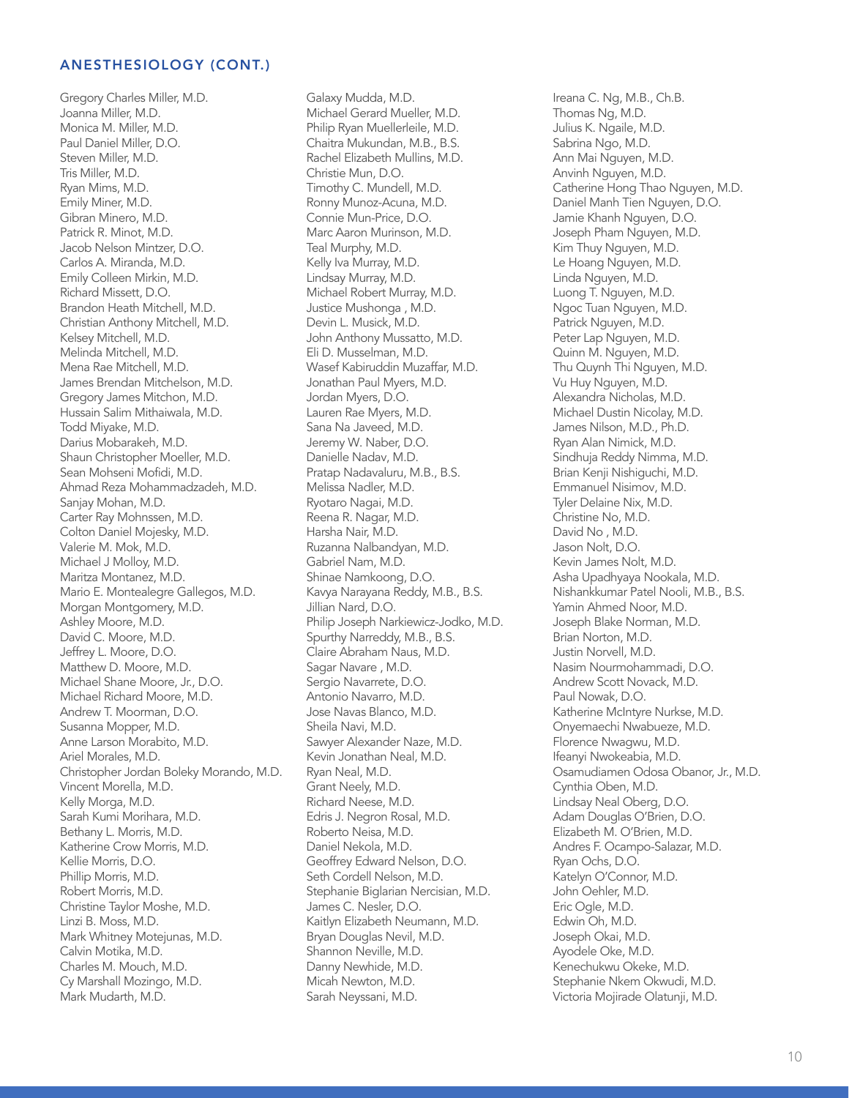Gregory Charles Miller, M.D. Joanna Miller, M.D. Monica M. Miller, M.D. Paul Daniel Miller, D.O. Steven Miller, M.D. Tris Miller, M.D. Ryan Mims, M.D. Emily Miner, M.D. Gibran Minero, M.D. Patrick R. Minot, M.D. Jacob Nelson Mintzer, D.O. Carlos A. Miranda, M.D. Emily Colleen Mirkin, M.D. Richard Missett, D.O. Brandon Heath Mitchell, M.D. Christian Anthony Mitchell, M.D. Kelsey Mitchell, M.D. Melinda Mitchell, M.D. Mena Rae Mitchell, M.D. James Brendan Mitchelson, M.D. Gregory James Mitchon, M.D. Hussain Salim Mithaiwala, M.D. Todd Miyake, M.D. Darius Mobarakeh, M.D. Shaun Christopher Moeller, M.D. Sean Mohseni Mofidi, M.D. Ahmad Reza Mohammadzadeh, M.D. Sanjay Mohan, M.D. Carter Ray Mohnssen, M.D. Colton Daniel Mojesky, M.D. Valerie M. Mok, M.D. Michael J Molloy, M.D. Maritza Montanez, M.D. Mario E. Montealegre Gallegos, M.D. Morgan Montgomery, M.D. Ashley Moore, M.D. David C. Moore, M.D. Jeffrey L. Moore, D.O. Matthew D. Moore, M.D. Michael Shane Moore, Jr., D.O. Michael Richard Moore, M.D. Andrew T. Moorman, D.O. Susanna Mopper, M.D. Anne Larson Morabito, M.D. Ariel Morales, M.D. Christopher Jordan Boleky Morando, M.D. Vincent Morella, M.D. Kelly Morga, M.D. Sarah Kumi Morihara, M.D. Bethany L. Morris, M.D. Katherine Crow Morris, M.D. Kellie Morris, D.O. Phillip Morris, M.D. Robert Morris, M.D. Christine Taylor Moshe, M.D. Linzi B. Moss, M.D. Mark Whitney Motejunas, M.D. Calvin Motika, M.D. Charles M. Mouch, M.D. Cy Marshall Mozingo, M.D. Mark Mudarth, M.D.

Galaxy Mudda, M.D. Michael Gerard Mueller, M.D. Philip Ryan Muellerleile, M.D. Chaitra Mukundan, M.B., B.S. Rachel Elizabeth Mullins, M.D. Christie Mun, D.O. Timothy C. Mundell, M.D. Ronny Munoz-Acuna, M.D. Connie Mun-Price, D.O. Marc Aaron Murinson, M.D. Teal Murphy, M.D. Kelly Iva Murray, M.D. Lindsay Murray, M.D. Michael Robert Murray, M.D. Justice Mushonga , M.D. Devin L. Musick, M.D. John Anthony Mussatto, M.D. Eli D. Musselman, M.D. Wasef Kabiruddin Muzaffar, M.D. Jonathan Paul Myers, M.D. Jordan Myers, D.O. Lauren Rae Myers, M.D. Sana Na Javeed, M.D. Jeremy W. Naber, D.O. Danielle Nadav, M.D. Pratap Nadavaluru, M.B., B.S. Melissa Nadler, M.D. Ryotaro Nagai, M.D. Reena R. Nagar, M.D. Harsha Nair, M.D. Ruzanna Nalbandyan, M.D. Gabriel Nam, M.D. Shinae Namkoong, D.O. Kavya Narayana Reddy, M.B., B.S. Jillian Nard, D.O. Philip Joseph Narkiewicz-Jodko, M.D. Spurthy Narreddy, M.B., B.S. Claire Abraham Naus, M.D. Sagar Navare , M.D. Sergio Navarrete, D.O. Antonio Navarro, M.D. Jose Navas Blanco, M.D. Sheila Navi, M.D. Sawyer Alexander Naze, M.D. Kevin Jonathan Neal, M.D. Ryan Neal, M.D. Grant Neely, M.D. Richard Neese, M.D. Edris J. Negron Rosal, M.D. Roberto Neisa, M.D. Daniel Nekola, M.D. Geoffrey Edward Nelson, D.O. Seth Cordell Nelson, M.D. Stephanie Biglarian Nercisian, M.D. James C. Nesler, D.O. Kaitlyn Elizabeth Neumann, M.D. Bryan Douglas Nevil, M.D. Shannon Neville, M.D. Danny Newhide, M.D. Micah Newton, M.D. Sarah Neyssani, M.D.

Ireana C. Ng, M.B., Ch.B. Thomas Ng, M.D. Julius K. Ngaile, M.D. Sabrina Ngo, M.D. Ann Mai Nguyen, M.D. Anvinh Nguyen, M.D. Catherine Hong Thao Nguyen, M.D. Daniel Manh Tien Nguyen, D.O. Jamie Khanh Nguyen, D.O. Joseph Pham Nguyen, M.D. Kim Thuy Nguyen, M.D. Le Hoang Nguyen, M.D. Linda Nguyen, M.D. Luong T. Nguyen, M.D. Ngoc Tuan Nguyen, M.D. Patrick Nguyen, M.D. Peter Lap Nguyen, M.D. Quinn M. Nguyen, M.D. Thu Quynh Thi Nguyen, M.D. Vu Huy Nguyen, M.D. Alexandra Nicholas, M.D. Michael Dustin Nicolay, M.D. James Nilson, M.D., Ph.D. Ryan Alan Nimick, M.D. Sindhuja Reddy Nimma, M.D. Brian Kenji Nishiguchi, M.D. Emmanuel Nisimov, M.D. Tyler Delaine Nix, M.D. Christine No, M.D. David No , M.D. Jason Nolt, D.O. Kevin James Nolt, M.D. Asha Upadhyaya Nookala, M.D. Nishankkumar Patel Nooli, M.B., B.S. Yamin Ahmed Noor, M.D. Joseph Blake Norman, M.D. Brian Norton, M.D. Justin Norvell, M.D. Nasim Nourmohammadi, D.O. Andrew Scott Novack, M.D. Paul Nowak, D.O. Katherine McIntyre Nurkse, M.D. Onyemaechi Nwabueze, M.D. Florence Nwagwu, M.D. Ifeanyi Nwokeabia, M.D. Osamudiamen Odosa Obanor, Jr., M.D. Cynthia Oben, M.D. Lindsay Neal Oberg, D.O. Adam Douglas O'Brien, D.O. Elizabeth M. O'Brien, M.D. Andres F. Ocampo-Salazar, M.D. Ryan Ochs, D.O. Katelyn O'Connor, M.D. John Oehler, M.D. Eric Ogle, M.D. Edwin Oh, M.D. Joseph Okai, M.D. Ayodele Oke, M.D. Kenechukwu Okeke, M.D. Stephanie Nkem Okwudi, M.D. Victoria Mojirade Olatunji, M.D.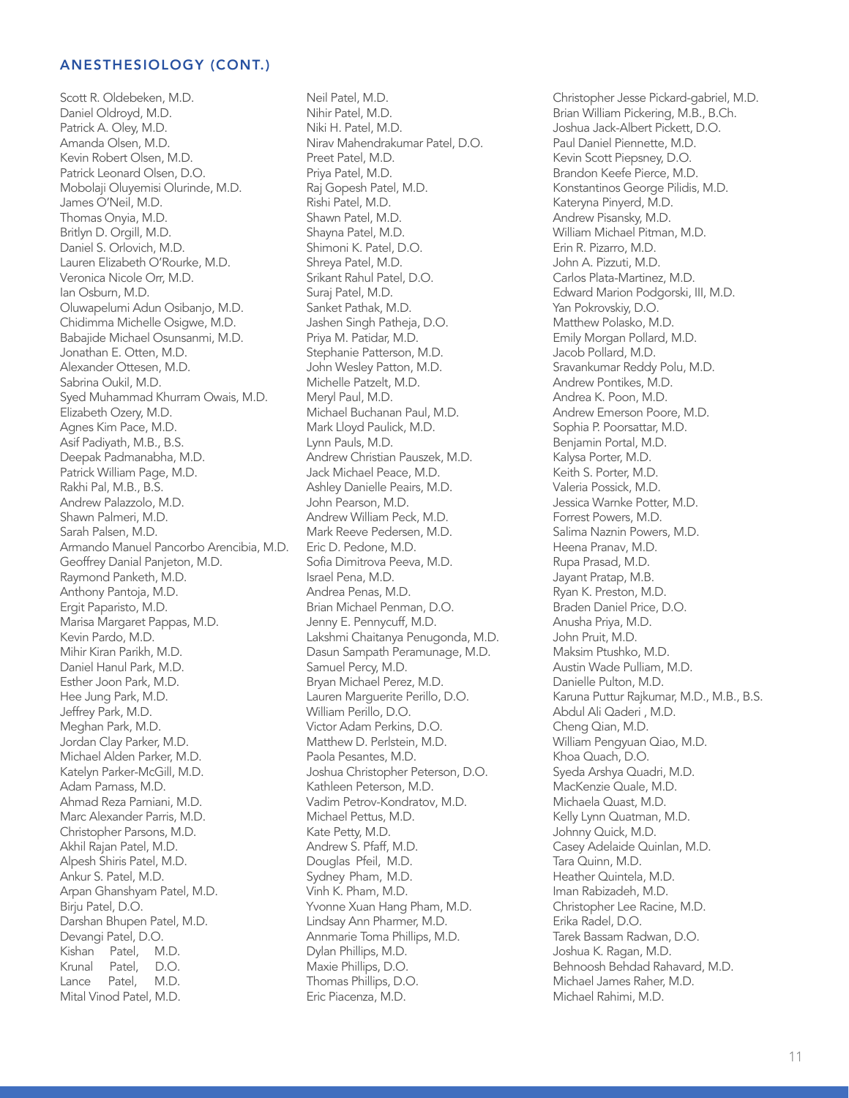Kishan Patel, M.D. Krunal Patel, D.O. Lance Patel, M.D. Mital Vinod Patel, M.D. Scott R. Oldebeken, M.D. Daniel Oldroyd, M.D. Patrick A. Oley, M.D. Amanda Olsen, M.D. Kevin Robert Olsen, M.D. Patrick Leonard Olsen, D.O. Mobolaji Oluyemisi Olurinde, M.D. James O'Neil, M.D. Thomas Onyia, M.D. Britlyn D. Orgill, M.D. Daniel S. Orlovich, M.D. Lauren Elizabeth O'Rourke, M.D. Veronica Nicole Orr, M.D. Ian Osburn, M.D. Oluwapelumi Adun Osibanjo, M.D. Chidimma Michelle Osigwe, M.D. Babajide Michael Osunsanmi, M.D. Jonathan E. Otten, M.D. Alexander Ottesen, M.D. Sabrina Oukil, M.D. Syed Muhammad Khurram Owais, M.D. Elizabeth Ozery, M.D. Agnes Kim Pace, M.D. Asif Padiyath, M.B., B.S. Deepak Padmanabha, M.D. Patrick William Page, M.D. Rakhi Pal, M.B., B.S. Andrew Palazzolo, M.D. Shawn Palmeri, M.D. Sarah Palsen, M.D. Armando Manuel Pancorbo Arencibia, M.D. Geoffrey Danial Panjeton, M.D. Raymond Panketh, M.D. Anthony Pantoja, M.D. Ergit Paparisto, M.D. Marisa Margaret Pappas, M.D. Kevin Pardo, M.D. Mihir Kiran Parikh, M.D. Daniel Hanul Park, M.D. Esther Joon Park, M.D. Hee Jung Park, M.D. Jeffrey Park, M.D. Meghan Park, M.D. Jordan Clay Parker, M.D. Michael Alden Parker, M.D. Katelyn Parker-McGill, M.D. Adam Parnass, M.D. Ahmad Reza Parniani, M.D. Marc Alexander Parris, M.D. Christopher Parsons, M.D. Akhil Rajan Patel, M.D. Alpesh Shiris Patel, M.D. Ankur S. Patel, M.D. Arpan Ghanshyam Patel, M.D. Birju Patel, D.O. Darshan Bhupen Patel, M.D. Devangi Patel, D.O.

Neil Patel, M.D. Nihir Patel, M.D. Niki H. Patel, M.D. Nirav Mahendrakumar Patel, D.O. Preet Patel, M.D. Priya Patel, M.D. Raj Gopesh Patel, M.D. Rishi Patel, M.D. Shawn Patel, M.D. Shayna Patel, M.D. Shimoni K. Patel, D.O. Shreya Patel, M.D. Srikant Rahul Patel, D.O. Suraj Patel, M.D. Sanket Pathak, M.D. Jashen Singh Patheja, D.O. Priya M. Patidar, M.D. Stephanie Patterson, M.D. John Wesley Patton, M.D. Michelle Patzelt, M.D. Meryl Paul, M.D. Michael Buchanan Paul, M.D. Mark Lloyd Paulick, M.D. Lynn Pauls, M.D. Andrew Christian Pauszek, M.D. Jack Michael Peace, M.D. Ashley Danielle Peairs, M.D. John Pearson, M.D. Andrew William Peck, M.D. Mark Reeve Pedersen, M.D. Eric D. Pedone, M.D. Sofia Dimitrova Peeva, M.D. Israel Pena, M.D. Andrea Penas, M.D. Brian Michael Penman, D.O. Jenny E. Pennycuff, M.D. Lakshmi Chaitanya Penugonda, M.D. Dasun Sampath Peramunage, M.D. Samuel Percy, M.D. Bryan Michael Perez, M.D. Lauren Marguerite Perillo, D.O. William Perillo, D.O. Victor Adam Perkins, D.O. Matthew D. Perlstein, M.D. Paola Pesantes, M.D. Joshua Christopher Peterson, D.O. Kathleen Peterson, M.D. Vadim Petrov-Kondratov, M.D. Michael Pettus, M.D. Kate Petty, M.D. Andrew S. Pfaff, M.D. Douglas Pfeil, M.D. Sydney Pham, M.D. Vinh K. Pham, M.D. Yvonne Xuan Hang Pham, M.D. Lindsay Ann Pharmer, M.D. Annmarie Toma Phillips, M.D. Dylan Phillips, M.D. Maxie Phillips, D.O. Thomas Phillips, D.O. Eric Piacenza, M.D.

Christopher Jesse Pickard-gabriel, M.D. Brian William Pickering, M.B., B.Ch. Joshua Jack-Albert Pickett, D.O. Paul Daniel Piennette, M.D. Kevin Scott Piepsney, D.O. Brandon Keefe Pierce, M.D. Konstantinos George Pilidis, M.D. Kateryna Pinyerd, M.D. Andrew Pisansky, M.D. William Michael Pitman, M.D. Erin R. Pizarro, M.D. John A. Pizzuti, M.D. Carlos Plata-Martinez, M.D. Edward Marion Podgorski, III, M.D. Yan Pokrovskiy, D.O. Matthew Polasko, M.D. Emily Morgan Pollard, M.D. Jacob Pollard, M.D. Sravankumar Reddy Polu, M.D. Andrew Pontikes, M.D. Andrea K. Poon, M.D. Andrew Emerson Poore, M.D. Sophia P. Poorsattar, M.D. Benjamin Portal, M.D. Kalysa Porter, M.D. Keith S. Porter, M.D. Valeria Possick, M.D. Jessica Warnke Potter, M.D. Forrest Powers, M.D. Salima Naznin Powers, M.D. Heena Pranav, M.D. Rupa Prasad, M.D. Jayant Pratap, M.B. Ryan K. Preston, M.D. Braden Daniel Price, D.O. Anusha Priya, M.D. John Pruit, M.D. Maksim Ptushko, M.D. Austin Wade Pulliam, M.D. Danielle Pulton, M.D. Karuna Puttur Rajkumar, M.D., M.B., B.S. Abdul Ali Qaderi , M.D. Cheng Qian, M.D. William Pengyuan Qiao, M.D. Khoa Quach, D.O. Syeda Arshya Quadri, M.D. MacKenzie Quale, M.D. Michaela Quast, M.D. Kelly Lynn Quatman, M.D. Johnny Quick, M.D. Casey Adelaide Quinlan, M.D. Tara Quinn, M.D. Heather Quintela, M.D. Iman Rabizadeh, M.D. Christopher Lee Racine, M.D. Erika Radel, D.O. Tarek Bassam Radwan, D.O. Joshua K. Ragan, M.D. Behnoosh Behdad Rahavard, M.D. Michael James Raher, M.D. Michael Rahimi, M.D.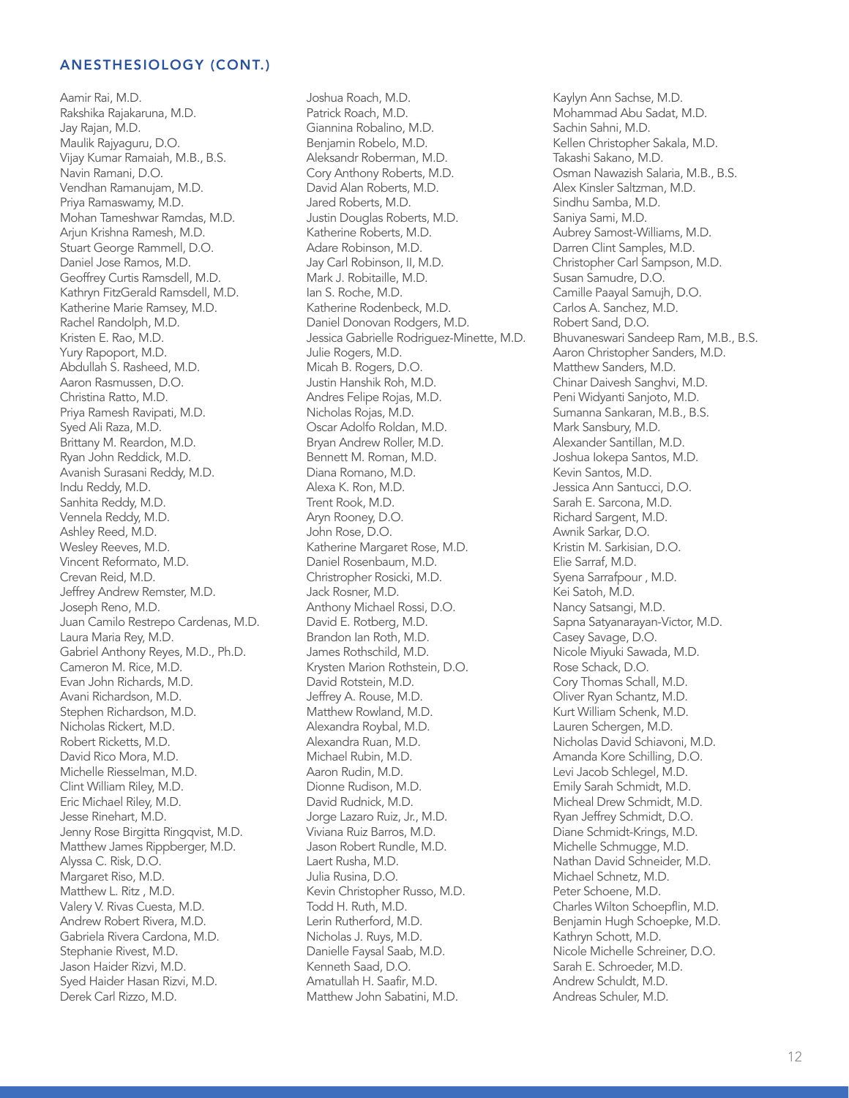Aamir Rai, M.D. Rakshika Rajakaruna, M.D. Jay Rajan, M.D. Maulik Rajyaguru, D.O. Vijay Kumar Ramaiah, M.B., B.S. Navin Ramani, D.O. Vendhan Ramanujam, M.D. Priya Ramaswamy, M.D. Mohan Tameshwar Ramdas, M.D. Arjun Krishna Ramesh, M.D. Stuart George Rammell, D.O. Daniel Jose Ramos, M.D. Geoffrey Curtis Ramsdell, M.D. Kathryn FitzGerald Ramsdell, M.D. Katherine Marie Ramsey, M.D. Rachel Randolph, M.D. Kristen E. Rao, M.D. Yury Rapoport, M.D. Abdullah S. Rasheed, M.D. Aaron Rasmussen, D.O. Christina Ratto, M.D. Priya Ramesh Ravipati, M.D. Syed Ali Raza, M.D. Brittany M. Reardon, M.D. Ryan John Reddick, M.D. Avanish Surasani Reddy, M.D. Indu Reddy, M.D. Sanhita Reddy, M.D. Vennela Reddy, M.D. Ashley Reed, M.D. Wesley Reeves, M.D. Vincent Reformato, M.D. Crevan Reid, M.D. Jeffrey Andrew Remster, M.D. Joseph Reno, M.D. Juan Camilo Restrepo Cardenas, M.D. Laura Maria Rey, M.D. Gabriel Anthony Reyes, M.D., Ph.D. Cameron M. Rice, M.D. Evan John Richards, M.D. Avani Richardson, M.D. Stephen Richardson, M.D. Nicholas Rickert, M.D. Robert Ricketts, M.D. David Rico Mora, M.D. Michelle Riesselman, M.D. Clint William Riley, M.D. Eric Michael Riley, M.D. Jesse Rinehart, M.D. Jenny Rose Birgitta Ringqvist, M.D. Matthew James Rippberger, M.D. Alyssa C. Risk, D.O. Margaret Riso, M.D. Matthew L. Ritz , M.D. Valery V. Rivas Cuesta, M.D. Andrew Robert Rivera, M.D. Gabriela Rivera Cardona, M.D. Stephanie Rivest, M.D. Jason Haider Rizvi, M.D. Syed Haider Hasan Rizvi, M.D. Derek Carl Rizzo, M.D.

Joshua Roach, M.D. Patrick Roach, M.D. Giannina Robalino, M.D. Benjamin Robelo, M.D. Aleksandr Roberman, M.D. Cory Anthony Roberts, M.D. David Alan Roberts, M.D. Jared Roberts, M.D. Justin Douglas Roberts, M.D. Katherine Roberts, M.D. Adare Robinson, M.D. Jay Carl Robinson, II, M.D. Mark J. Robitaille, M.D. Ian S. Roche, M.D. Katherine Rodenbeck, M.D. Daniel Donovan Rodgers, M.D. Jessica Gabrielle Rodriguez-Minette, M.D. Julie Rogers, M.D. Micah B. Rogers, D.O. Justin Hanshik Roh, M.D. Andres Felipe Rojas, M.D. Nicholas Rojas, M.D. Oscar Adolfo Roldan, M.D. Bryan Andrew Roller, M.D. Bennett M. Roman, M.D. Diana Romano, M.D. Alexa K. Ron, M.D. Trent Rook, M.D. Aryn Rooney, D.O. John Rose, D.O. Katherine Margaret Rose, M.D. Daniel Rosenbaum, M.D. Christropher Rosicki, M.D. Jack Rosner, M.D. Anthony Michael Rossi, D.O. David E. Rotberg, M.D. Brandon Ian Roth, M.D. James Rothschild, M.D. Krysten Marion Rothstein, D.O. David Rotstein, M.D. Jeffrey A. Rouse, M.D. Matthew Rowland, M.D. Alexandra Roybal, M.D. Alexandra Ruan, M.D. Michael Rubin, M.D. Aaron Rudin, M.D. Dionne Rudison, M.D. David Rudnick, M.D. Jorge Lazaro Ruiz, Jr., M.D. Viviana Ruiz Barros, M.D. Jason Robert Rundle, M.D. Laert Rusha, M.D. Julia Rusina, D.O. Kevin Christopher Russo, M.D. Todd H. Ruth, M.D. Lerin Rutherford, M.D. Nicholas J. Ruys, M.D. Danielle Faysal Saab, M.D. Kenneth Saad, D.O. Amatullah H. Saafir, M.D. Matthew John Sabatini, M.D.

Kaylyn Ann Sachse, M.D. Mohammad Abu Sadat, M.D. Sachin Sahni, M.D. Kellen Christopher Sakala, M.D. Takashi Sakano, M.D. Osman Nawazish Salaria, M.B., B.S. Alex Kinsler Saltzman, M.D. Sindhu Samba, M.D. Saniya Sami, M.D. Aubrey Samost-Williams, M.D. Darren Clint Samples, M.D. Christopher Carl Sampson, M.D. Susan Samudre, D.O. Camille Paayal Samujh, D.O. Carlos A. Sanchez, M.D. Robert Sand, D.O. Bhuvaneswari Sandeep Ram, M.B., B.S. Aaron Christopher Sanders, M.D. Matthew Sanders, M.D. Chinar Daivesh Sanghvi, M.D. Peni Widyanti Sanjoto, M.D. Sumanna Sankaran, M.B., B.S. Mark Sansbury, M.D. Alexander Santillan, M.D. Joshua Iokepa Santos, M.D. Kevin Santos, M.D. Jessica Ann Santucci, D.O. Sarah E. Sarcona, M.D. Richard Sargent, M.D. Awnik Sarkar, D.O. Kristin M. Sarkisian, D.O. Elie Sarraf, M.D. Syena Sarrafpour , M.D. Kei Satoh, M.D. Nancy Satsangi, M.D. Sapna Satyanarayan-Victor, M.D. Casey Savage, D.O. Nicole Miyuki Sawada, M.D. Rose Schack, D.O. Cory Thomas Schall, M.D. Oliver Ryan Schantz, M.D. Kurt William Schenk, M.D. Lauren Schergen, M.D. Nicholas David Schiavoni, M.D. Amanda Kore Schilling, D.O. Levi Jacob Schlegel, M.D. Emily Sarah Schmidt, M.D. Micheal Drew Schmidt, M.D. Ryan Jeffrey Schmidt, D.O. Diane Schmidt-Krings, M.D. Michelle Schmugge, M.D. Nathan David Schneider, M.D. Michael Schnetz, M.D. Peter Schoene, M.D. Charles Wilton Schoepflin, M.D. Benjamin Hugh Schoepke, M.D. Kathryn Schott, M.D. Nicole Michelle Schreiner, D.O. Sarah E. Schroeder, M.D. Andrew Schuldt, M.D. Andreas Schuler, M.D.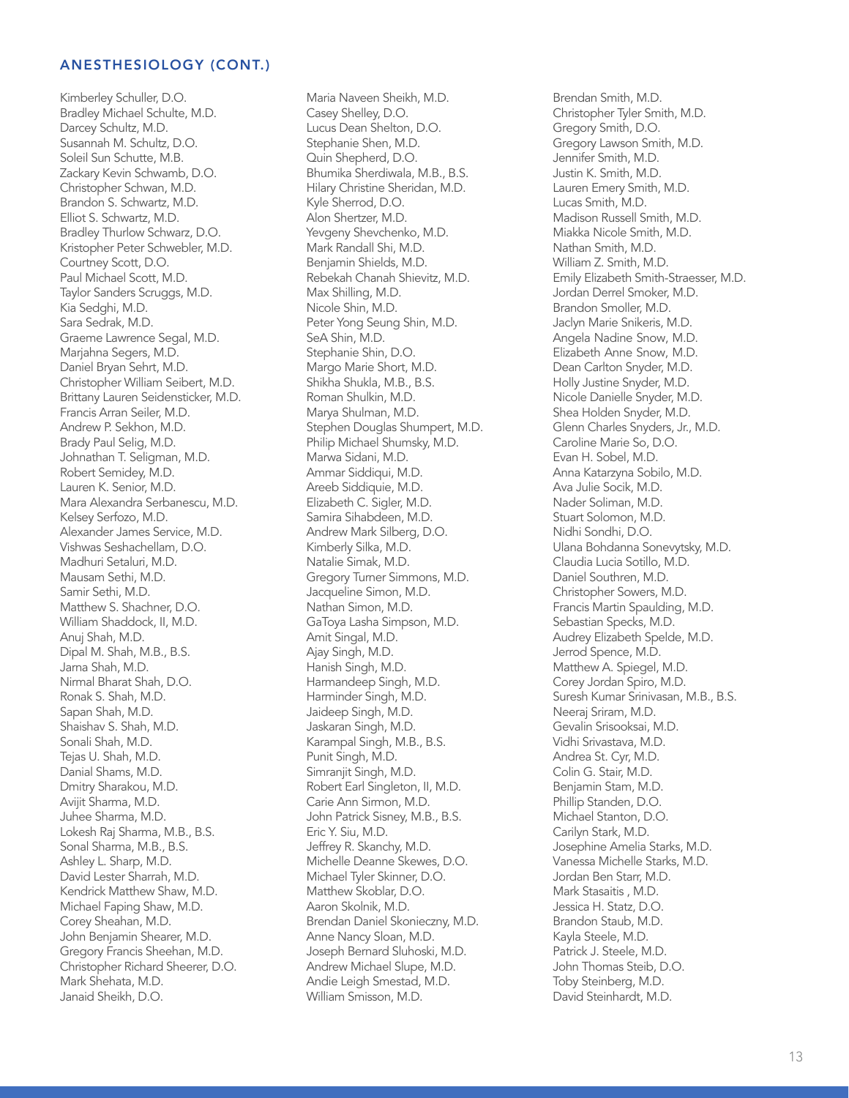Kimberley Schulle r, D.O . Bradley Michael Schult e, M.D. Darcey Schultz, M.D. Susannah M. Schultz, D.O. Soleil Sun Schutte, M.B. Zackary Kevin Schwamb, D.O. Christopher Schwan, M.D. Brandon S. Schwartz, M.D. Elliot S. Schwartz, M.D. Bradley Thurlow Schwarz, D.O. Kristopher Peter Schwebler, M.D. Courtney Scott, D.O. Paul Michael Scott, M .D. Taylor Sanders Scruggs, M .D. Kia Sedghi, M.D. Sara Sedrak, M.D. Graeme Lawrence Segal, M.D. Marjahna Segers, M.D. Daniel Bryan Sehrt, M.D. Christopher William Seibert, M.D. Brittany Lauren Seidensticker, M.D. Francis Arran Seiler, M.D. Andrew P. Sekhon, M.D. Brady Paul Selig, M.D . Johnathan T. Seligma n, M.D. Robert Semide y, M.D. Lauren K. Senio r, M.D. Mara Alexandra Serban escu, M.D. Kelsey Serfozo, M.D. Alexander James Service , M.D. Vishwas Seshachellam, D.O. Madhuri Setaluri, M.D. Mausam Sethi, M.D. Samir Sethi, M.D. Matthew S. Shachner, D.O. William Shaddock, II, M.D . Anuj Shah, M.D. Dipal M. Shah, M.B., B.S. Jarna Shah, M.D. Nirmal Bharat Shah, D.O . Ronak S. Shah, M.D. Sapan Shah, M.D. Shaishav S. Shah, M.D. Sonali Shah, M.D. Tejas U. Shah, M.D. Danial Shams, M.D. Dmitry Sharakou, M.D. Avijit Sharma, M.D. Juhee Sharma, M.D. Lokesh Raj Sharma, M.B., B.S. Sonal Sharma, M.B., B.S . Ashley L. Sharp, M.D. David Lester Sharrah, M.D . Kendrick Matthew Shaw, M .D. Michael Faping Shaw, M .D. Corey Sheahan, M.D. John Benjamin Sheare r, M.D. Gregory Francis Sheehan , M.D. Christopher Richard Sh eere r, D.O. Mark Shehata, M.D. Janaid Sheikh, D.O.

Maria Naveen Sheikh , M.D. Casey Shelle y, D.O. Lucus Dean Shelton, D.O . Stephanie Shen, M.D. Quin Shepherd, D.O. Bhumika Sherdiwala, M. B., B.S. Hilary Christine Sheridan , M.D. Kyle Sherrod, D.O. Alon Shertze r, M.D. Yevgeny Shevchenko, M .D. Mark Randall Shi, M .D. Benjamin Shields, M.D. Rebekah Chanah Shievit z, M.D. Max Shilling, M.D. Nicole Shin, M.D. Peter Yong Seung Shin , M.D. SeA Shin, M.D. Stephanie Shin, D.O. Margo Marie Short, M.D . Shikha Shukla, M.B., B.S. Roman Shulkin, M.D. Marya Shulman, M.D. Stephen Douglas Shump ert, M.D. Philip Michael Shumsky, M.D. Marwa Sidani, M.D. Ammar Siddiqui, M.D. Areeb Siddiquie, M.D. Elizabeth C. Sigler, M.D . Samira Sihabdeen, M.D . Andrew Mark Silberg, D.O. Kimberly Silka, M.D. Natalie Simak, M.D. Gregory Turner Simmons, M .D. Jacqueline Simon, M.D. Nathan Simon, M.D. Ga Toya Lasha Simpson, M.D. Amit Singal, M.D. Ajay Singh, M.D. Hanish Singh, M.D. Harmandeep Singh, M.D . Harminder Singh, M.D. Jaideep Singh, M.D. Jaskaran Singh, M.D. Karampal Singh, M.B., B .S. Punit Singh, M.D. Simranjit Singh, M.D. Robert Earl Singleton, II, M.D. Carie Ann Sirmon, M.D. John Patrick Sisne y, M . B., B.S. Eric Y. Siu, M.D. Jeffrey R. Skanch y, M .D. Michelle Deanne Skewes , D.O. Michael Tyler Skinne r, D.O . Matthew Skobla r, D.O. Aaron Skolnik, M.D. Brendan Daniel Skonieczny, M.D. Anne Nancy Sloan, M.D . Joseph Bernard Sluho s ki, M.D. Andrew Michael Slupe , M.D. Andie Leigh Smestad, M .D. William Smisson, M.D.

Brendan Smith, M.D. Christopher Tyler Smith , M.D. Gregory Smith, D.O. Gregory Lawson Smith, M.D. Jennifer Smith, M.D. Justin K. Smith, M.D. Lauren Emery Smith, M.D . Lucas Smith, M.D. Madison Russell Smit h , M.D. Miakka Nicole Smith, M.D. Nathan Smith, M.D. William Z. Smith, M.D. Emily Elizabeth Smith-Straesse r, M.D. Jordan Derrel Smoke r, M.D. Brandon Smolle r, M.D. Jaclyn Marie Snikeri s , M.D. Angela Nadine Snow, M.D. Elizabeth Anne Snow, M.D. Dean Carlton Snyder, M.D. Holly Justine Snyde r, M.D. Nicole Danielle Snyde r, M.D. Shea Holden Snyde r, M .D. Glenn Charles Snyders, J r., M.D. Caroline Marie So, D. O . E van H. Sobel, M.D. An na Katarzyna Sobilo, M.D . Ava Julie Socik, M.D . Nader Soliman, M.D. Stuart Solomon, M.D. Nidhi Sondhi, D.O. Ulana Bohdanna Sonevytsky, M.D. Claudia Lucia Sotillo, M.D. Daniel Southren, M.D. Christopher Sowers, M.D. Francis Martin Spaulding, M.D. Sebastian Specks, M.D. Audrey Elizabeth Speld e, M.D. Jerrod Spence, M.D. Matthew A. Spiegel, M.D . Corey Jordan Spiro, M.D . Suresh Kumar Srinivasan , M.B., B.S. Neeraj Sriram, M.D. Gevalin Srisooksai, M.D. Vidhi Srivastava, M.D . Andrea St. Cy r, M.D. Colin G. Stai r, M.D. Ben jamin Stam, M.D. Phillip Standen, D.O. Michael Stanton, D.O. Carilyn Stark, M.D. Josephine Amelia Starks , M.D. Vanessa Michelle Star ks, M.D. Jordan Ben Star r, M.D. Mark Stasaitis , M.D. Jessica H. Statz, D.O . Brandon Staub, M.D. Kayla Steele, M.D. Patrick J. Steele, M.D. John Thomas Steib, D.O. Toby Steinberg, M.D. David Steinhardt, M.D.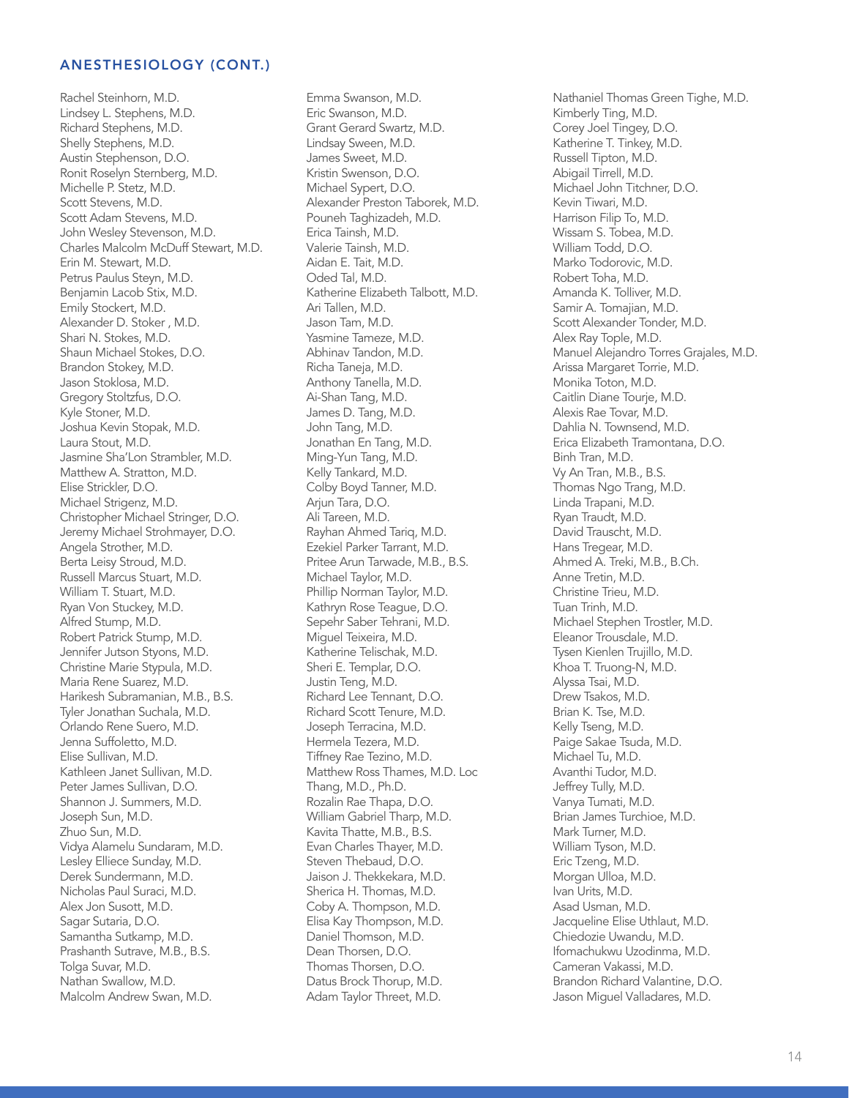Rachel Steinhorn, M.D. Lindsey L. Stephens, M.D. Richard Stephens, M.D. Shelly Stephens, M.D. Austin Stephenson, D.O. Ronit Roselyn Sternberg, M.D. Michelle P. Stetz, M.D. Scott Stevens, M.D. Scott Adam Stevens, M.D. John Wesley Stevenson, M.D. Charles Malcolm McDuff Stewart, M.D. Erin M. Stewart, M.D. Petrus Paulus Steyn, M.D. Benjamin Lacob Stix, M.D. Emily Stockert, M.D. Alexander D. Stoker , M.D. Shari N. Stokes, M.D. Shaun Michael Stokes, D.O. Brandon Stokey, M.D. Jason Stoklosa, M.D. Gregory Stoltzfus, D.O. Kyle Stoner, M.D. Joshua Kevin Stopak, M.D. Laura Stout, M.D. Jasmine Sha'Lon Strambler, M.D. Matthew A. Stratton, M.D. Elise Strickler, D.O. Michael Strigenz, M.D. Christopher Michael Stringer, D.O. Jeremy Michael Strohmayer, D.O. Angela Strother, M.D. Berta Leisy Stroud, M.D. Russell Marcus Stuart, M.D. William T. Stuart, M.D. Ryan Von Stuckey, M.D. Alfred Stump, M.D. Robert Patrick Stump, M.D. Jennifer Jutson Styons, M.D. Christine Marie Stypula, M.D. Maria Rene Suarez, M.D. Harikesh Subramanian, M.B., B.S. Tyler Jonathan Suchala, M.D. Orlando Rene Suero, M.D. Jenna Suffoletto, M.D. Elise Sullivan, M.D. Kathleen Janet Sullivan, M.D. Peter James Sullivan, D.O. Shannon J. Summers, M.D. Joseph Sun, M.D. Zhuo Sun, M.D. Vidya Alamelu Sundaram, M.D. Lesley Elliece Sunday, M.D. Derek Sundermann, M.D. Nicholas Paul Suraci, M.D. Alex Jon Susott, M.D. Sagar Sutaria, D.O. Samantha Sutkamp, M.D. Prashanth Sutrave, M.B., B.S. Tolga Suvar, M.D. Nathan Swallow, M.D. Malcolm Andrew Swan, M.D.

Emma Swanson, M.D. Eric Swanson, M.D. Grant Gerard Swartz, M.D. Lindsay Sween, M.D. James Sweet, M.D. Kristin Swenson, D.O. Michael Sypert, D.O. Alexander Preston Taborek, M.D. Pouneh Taghizadeh, M.D. Erica Tainsh, M.D. Valerie Tainsh, M.D. Aidan E. Tait, M.D. Oded Tal, M.D. Katherine Elizabeth Talbott, M.D. Ari Tallen, M.D. Jason Tam, M.D. Yasmine Tameze, M.D. Abhinav Tandon, M.D. Richa Taneja, M.D. Anthony Tanella, M.D. Ai-Shan Tang, M.D. James D. Tang, M.D. John Tang, M.D. Jonathan En Tang, M.D. Ming-Yun Tang, M.D. Kelly Tankard, M.D. Colby Boyd Tanner, M.D. Arjun Tara, D.O. Ali Tareen, M.D. Rayhan Ahmed Tariq, M.D. Ezekiel Parker Tarrant, M.D. Pritee Arun Tarwade, M.B., B.S. Michael Taylor, M.D. Phillip Norman Taylor, M.D. Kathryn Rose Teague, D.O. Sepehr Saber Tehrani, M.D. Miguel Teixeira, M.D. Katherine Telischak, M.D. Sheri E. Templar, D.O. Justin Teng, M.D. Richard Lee Tennant, D.O. Richard Scott Tenure, M.D. Joseph Terracina, M.D. Hermela Tezera, M.D. Tiffney Rae Tezino, M.D. Matthew Ross Thames, M.D. Loc Thang, M.D., Ph.D. Rozalin Rae Thapa, D.O. William Gabriel Tharp, M.D. Kavita Thatte, M.B., B.S. Evan Charles Thayer, M.D. Steven Thebaud, D.O. Jaison J. Thekkekara, M.D. Sherica H. Thomas, M.D. Coby A. Thompson, M.D. Elisa Kay Thompson, M.D. Daniel Thomson, M.D. Dean Thorsen, D.O. Thomas Thorsen, D.O. Datus Brock Thorup, M.D. Adam Taylor Threet, M.D.

Nathaniel Thomas Green Tighe, M.D. Kimberly Ting, M.D. Corey Joel Tingey, D.O. Katherine T. Tinkey, M.D. Russell Tipton, M.D. Abigail Tirrell, M.D. Michael John Titchner, D.O. Kevin Tiwari, M.D. Harrison Filip To, M.D. Wissam S. Tobea, M.D. William Todd, D.O. Marko Todorovic, M.D. Robert Toha, M.D. Amanda K. Tolliver, M.D. Samir A. Tomajian, M.D. Scott Alexander Tonder, M.D. Alex Ray Tople, M.D. Manuel Alejandro Torres Grajales, M.D. Arissa Margaret Torrie, M.D. Monika Toton, M.D. Caitlin Diane Tourje, M.D. Alexis Rae Tovar, M.D. Dahlia N. Townsend, M.D. Erica Elizabeth Tramontana, D.O. Binh Tran, M.D. Vy An Tran, M.B., B.S. Thomas Ngo Trang, M.D. Linda Trapani, M.D. Ryan Traudt, M.D. David Trauscht, M.D. Hans Tregear, M.D. Ahmed A. Treki, M.B., B.Ch. Anne Tretin, M.D. Christine Trieu, M.D. Tuan Trinh, M.D. Michael Stephen Trostler, M.D. Eleanor Trousdale, M.D. Tysen Kienlen Trujillo, M.D. Khoa T. Truong-N, M.D. Alyssa Tsai, M.D. Drew Tsakos, M.D. Brian K. Tse, M.D. Kelly Tseng, M.D. Paige Sakae Tsuda, M.D. Michael Tu, M.D. Avanthi Tudor, M.D. Jeffrey Tully, M.D. Vanya Tumati, M.D. Brian James Turchioe, M.D. Mark Turner, M.D. William Tyson, M.D. Eric Tzeng, M.D. Morgan Ulloa, M.D. Ivan Urits, M.D. Asad Usman, M.D. Jacqueline Elise Uthlaut, M.D. Chiedozie Uwandu, M.D. Ifomachukwu Uzodinma, M.D. Cameran Vakassi, M.D. Brandon Richard Valantine, D.O. Jason Miguel Valladares, M.D.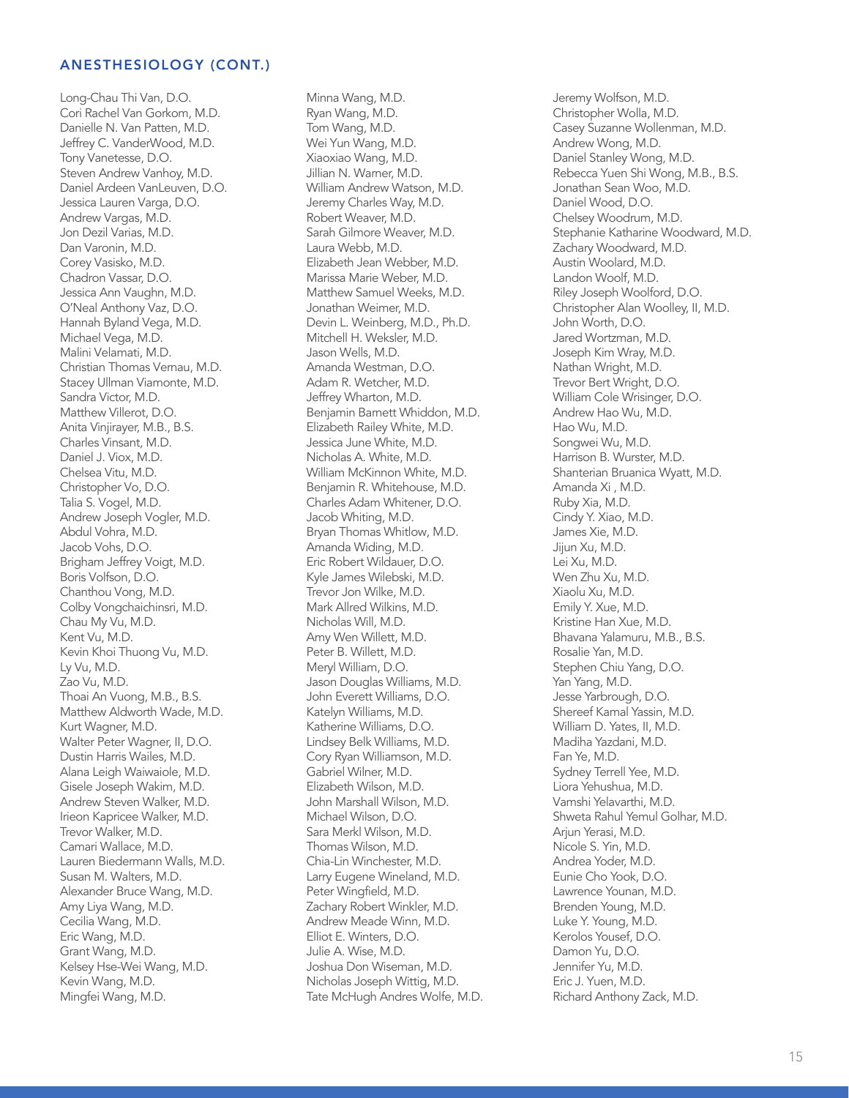Long-Chau Thi Van, D.O. Cori Rachel Van Gorkom, M.D. Danielle N. Van Patten, M.D. Jeffrey C. VanderWood, M.D. Tony Vanetesse, D.O. Steven Andrew Vanhoy, M.D. Daniel Ardeen VanLeuven, D.O. Jessica Lauren Varga, D.O. Andrew Vargas, M.D. Jon Dezil Varias, M.D. Dan Varonin, M.D. Corey Vasisko, M.D. Chadron Vassar, D.O. Jessica Ann Vaughn, M.D. O'Neal Anthony Vaz, D.O. Hannah Byland Vega, M.D. Michael Vega, M.D. Malini Velamati, M.D. Christian Thomas Vernau, M.D. Stacey Ullman Viamonte, M.D. Sandra Victor, M.D. Matthew Villerot, D.O. Anita Vinjirayer, M.B., B.S. Charles Vinsant, M.D. Daniel J. Viox, M.D. Chelsea Vitu, M.D. Christopher Vo, D.O. Talia S. Vogel, M.D. Andrew Joseph Vogler, M.D. Abdul Vohra, M.D. Jacob Vohs, D.O. Brigham Jeffrey Voigt, M.D. Boris Volfson, D.O. Chanthou Vong, M.D. Colby Vongchaichinsri, M.D. Chau My Vu, M.D. Kent Vu, M.D. Kevin Khoi Thuong Vu, M.D. Ly Vu, M.D. Zao Vu, M.D. Thoai An Vuong, M.B., B.S. Matthew Aldworth Wade, M.D. Kurt Wagner, M.D. Walter Peter Wagner, II, D.O. Dustin Harris Wailes, M.D. Alana Leigh Waiwaiole, M.D. Gisele Joseph Wakim, M.D. Andrew Steven Walker, M.D. Irieon Kapricee Walker, M.D. Trevor Walker, M.D. Camari Wallace, M.D. Lauren Biedermann Walls, M.D. Susan M. Walters, M.D. Alexander Bruce Wang, M.D. Amy Liya Wang, M.D. Cecilia Wang, M.D. Eric Wang, M.D. Grant Wang, M.D. Kelsey Hse-Wei Wang, M.D. Kevin Wang, M.D. Mingfei Wang, M.D.

Minna Wang, M.D. Ryan Wang, M.D. Tom Wang, M.D. Wei Yun Wang, M.D. Xiaoxiao Wang, M.D. Jillian N. Warner, M.D. William Andrew Watson, M.D. Jeremy Charles Way, M.D. Robert Weaver, M.D. Sarah Gilmore Weaver, M.D. Laura Webb, M.D. Elizabeth Jean Webber, M.D. Marissa Marie Weber, M.D. Matthew Samuel Weeks, M.D. Jonathan Weimer, M.D. Devin L. Weinberg, M.D., Ph.D. Mitchell H. Weksler, M.D. Jason Wells, M.D. Amanda Westman, D.O. Adam R. Wetcher, M.D. Jeffrey Wharton, M.D. Benjamin Barnett Whiddon, M.D. Elizabeth Railey White, M.D. Jessica June White, M.D. Nicholas A. White, M.D. William McKinnon White, M.D. Benjamin R. Whitehouse, M.D. Charles Adam Whitener, D.O. Jacob Whiting, M.D. Bryan Thomas Whitlow, M.D. Amanda Widing, M.D. Eric Robert Wildauer, D.O. Kyle James Wilebski, M.D. Trevor Jon Wilke, M.D. Mark Allred Wilkins, M.D. Nicholas Will, M.D. Amy Wen Willett, M.D. Peter B. Willett, M.D. Meryl William, D.O. Jason Douglas Williams, M.D. John Everett Williams, D.O. Katelyn Williams, M.D. Katherine Williams, D.O. Lindsey Belk Williams, M.D. Cory Ryan Williamson, M.D. Gabriel Wilner, M.D. Elizabeth Wilson, M.D. John Marshall Wilson, M.D. Michael Wilson, D.O. Sara Merkl Wilson, M.D. Thomas Wilson, M.D. Chia-Lin Winchester, M.D. Larry Eugene Wineland, M.D. Peter Wingfield, M.D. Zachary Robert Winkler, M.D. Andrew Meade Winn, M.D. Elliot E. Winters, D.O. Julie A. Wise, M.D. Joshua Don Wiseman, M.D. Nicholas Joseph Wittig, M.D. Tate McHugh Andres Wolfe, M.D. Jeremy Wolfson, M.D. Christopher Wolla, M.D. Casey Suzanne Wollenman, M.D. Andrew Wong, M.D. Daniel Stanley Wong, M.D. Rebecca Yuen Shi Wong, M.B., B.S. Jonathan Sean Woo, M.D. Daniel Wood, D.O. Chelsey Woodrum, M.D. Stephanie Katharine Woodward, M.D. Zachary Woodward, M.D. Austin Woolard, M.D. Landon Woolf, M.D. Riley Joseph Woolford, D.O. Christopher Alan Woolley, II, M.D. John Worth, D.O. Jared Wortzman, M.D. Joseph Kim Wray, M.D. Nathan Wright, M.D. Trevor Bert Wright, D.O. William Cole Wrisinger, D.O. Andrew Hao Wu, M.D. Hao Wu, M.D. Songwei Wu, M.D. Harrison B. Wurster, M.D. Shanterian Bruanica Wyatt, M.D. Amanda Xi , M.D. Ruby Xia, M.D. Cindy Y. Xiao, M.D. James Xie, M.D. Jijun Xu, M.D. Lei Xu, M.D. Wen Zhu Xu, M.D. Xiaolu Xu, M.D. Emily Y. Xue, M.D. Kristine Han Xue, M.D. Bhavana Yalamuru, M.B., B.S. Rosalie Yan, M.D. Stephen Chiu Yang, D.O. Yan Yang, M.D. Jesse Yarbrough, D.O. Shereef Kamal Yassin, M.D. William D. Yates, II, M.D. Madiha Yazdani, M.D. Fan Ye, M.D. Sydney Terrell Yee, M.D. Liora Yehushua, M.D. Vamshi Yelavarthi, M.D. Shweta Rahul Yemul Golhar, M.D. Arjun Yerasi, M.D. Nicole S. Yin, M.D. Andrea Yoder, M.D. Eunie Cho Yook, D.O. Lawrence Younan, M.D. Brenden Young, M.D. Luke Y. Young, M.D. Kerolos Yousef, D.O. Damon Yu, D.O. Jennifer Yu, M.D. Eric J. Yuen, M.D. Richard Anthony Zack, M.D.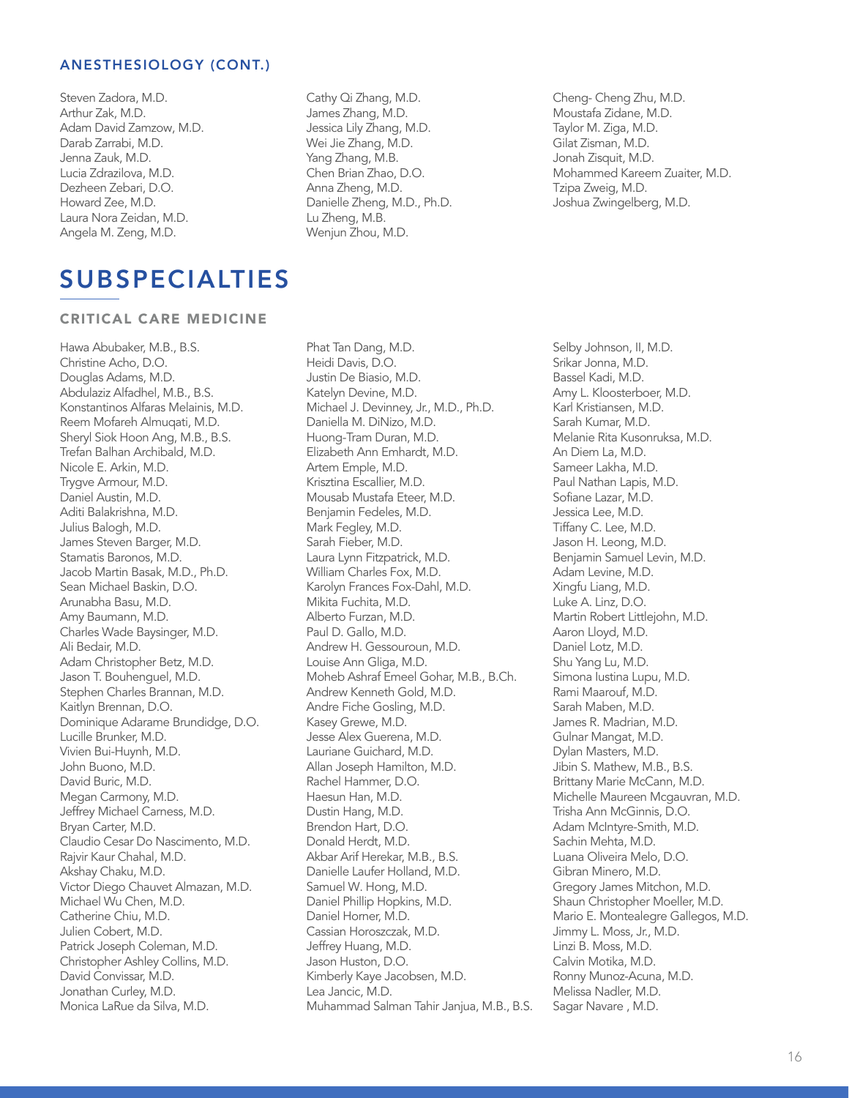Steven Zadora, M.D. Arthur Zak, M.D. Adam David Zamzow, M.D. Darab Zarrabi, M.D. Jenna Zauk, M.D. Lucia Zdrazilova, M.D. Dezheen Zebari, D.O. Howard Zee, M.D. Laura Nora Zeidan, M.D. Angela M. Zeng, M.D.

SUBSPECIALTIES

#### CRITICAL CARE MEDICINE

Hawa Abubaker, M.B., B.S. Christine Acho, D.O. Douglas Adams, M.D. Abdulaziz Alfadhel, M.B., B.S. Konstantinos Alfaras Melainis, M.D. Reem Mofareh Almuqati, M.D. Sheryl Siok Hoon Ang, M.B., B.S. Trefan Balhan Archibald, M.D. Nicole E. Arkin, M.D. Trygve Armour, M.D. Daniel Austin, M.D. Aditi Balakrishna, M.D. Julius Balogh, M.D. James Steven Barger, M.D. Stamatis Baronos, M.D. Jacob Martin Basak, M.D., Ph.D. Sean Michael Baskin, D.O. Arunabha Basu, M.D. Amy Baumann, M.D. Charles Wade Baysinger, M.D. Ali Bedair, M.D. Adam Christopher Betz, M.D. Jason T. Bouhenguel, M.D. Stephen Charles Brannan, M.D. Kaitlyn Brennan, D.O. Dominique Adarame Brundidge, D.O. Lucille Brunker, M.D. Vivien Bui-Huynh, M.D. John Buono, M.D. David Buric, M.D. Megan Carmony, M.D. Jeffrey Michael Carness, M.D. Bryan Carter, M.D. Claudio Cesar Do Nascimento, M.D. Rajvir Kaur Chahal, M.D. Akshay Chaku, M.D. Victor Diego Chauvet Almazan, M.D. Michael Wu Chen, M.D. Catherine Chiu, M.D. Julien Cobert, M.D. Patrick Joseph Coleman, M.D. Christopher Ashley Collins, M.D. David Convissar, M.D. Jonathan Curley, M.D. Monica LaRue da Silva, M.D.

Cathy Qi Zhang, M.D. James Zhang, M.D. Jessica Lily Zhang, M.D. Wei Jie Zhang, M.D. Yang Zhang, M.B. Chen Brian Zhao, D.O. Anna Zheng, M.D. Danielle Zheng, M.D., Ph.D. Lu Zheng, M.B. Wenjun Zhou, M.D.

Phat Tan Dang, M.D. Heidi Davis, D.O. Justin De Biasio, M.D. Katelyn Devine, M.D. Michael J. Devinney, Jr., M.D., Ph.D. Daniella M. DiNizo, M.D. Huong-Tram Duran, M.D. Elizabeth Ann Emhardt, M.D. Artem Emple, M.D. Krisztina Escallier, M.D. Mousab Mustafa Eteer, M.D. Benjamin Fedeles, M.D. Mark Fegley, M.D. Sarah Fieber, M.D. Laura Lynn Fitzpatrick, M.D. William Charles Fox, M.D. Karolyn Frances Fox-Dahl, M.D. Mikita Fuchita, M.D. Alberto Furzan, M.D. Paul D. Gallo, M.D. Andrew H. Gessouroun, M.D. Louise Ann Gliga, M.D. Moheb Ashraf Emeel Gohar, M.B., B.Ch. Andrew Kenneth Gold, M.D. Andre Fiche Gosling, M.D. Kasey Grewe, M.D. Jesse Alex Guerena, M.D. Lauriane Guichard, M.D. Allan Joseph Hamilton, M.D. Rachel Hammer, D.O. Haesun Han, M.D. Dustin Hang, M.D. Brendon Hart, D.O. Donald Herdt, M.D. Akbar Arif Herekar, M.B., B.S. Danielle Laufer Holland, M.D. Samuel W. Hong, M.D. Daniel Phillip Hopkins, M.D. Daniel Horner, M.D. Cassian Horoszczak, M.D. Jeffrey Huang, M.D. Jason Huston, D.O. Kimberly Kaye Jacobsen, M.D. Lea Jancic, M.D. Muhammad Salman Tahir Janjua, M.B., B.S.

Cheng- Cheng Zhu, M.D. Moustafa Zidane, M.D. Taylor M. Ziga, M.D. Gilat Zisman, M.D. Jonah Zisquit, M.D. Mohammed Kareem Zuaiter, M.D. Tzipa Zweig, M.D. Joshua Zwingelberg, M.D.

Selby Johnson, II, M.D. Srikar Jonna, M.D. Bassel Kadi, M.D. Amy L. Kloosterboer, M.D. Karl Kristiansen, M.D. Sarah Kumar, M.D. Melanie Rita Kusonruksa, M.D. An Diem La, M.D. Sameer Lakha, M.D. Paul Nathan Lapis, M.D. Sofiane Lazar, M.D. Jessica Lee, M.D. Tiffany C. Lee, M.D. Jason H. Leong, M.D. Benjamin Samuel Levin, M.D. Adam Levine, M.D. Xingfu Liang, M.D. Luke A. Linz, D.O. Martin Robert Littlejohn, M.D. Aaron Lloyd, M.D. Daniel Lotz, M.D. Shu Yang Lu, M.D. Simona Iustina Lupu, M.D. Rami Maarouf, M.D. Sarah Maben, M.D. James R. Madrian, M.D. Gulnar Mangat, M.D. Dylan Masters, M.D. Jibin S. Mathew, M.B., B.S. Brittany Marie McCann, M.D. Michelle Maureen Mcgauvran, M.D. Trisha Ann McGinnis, D.O. Adam McIntyre-Smith, M.D. Sachin Mehta, M.D. Luana Oliveira Melo, D.O. Gibran Minero, M.D. Gregory James Mitchon, M.D. Shaun Christopher Moeller, M.D. Mario E. Montealegre Gallegos, M.D. Jimmy L. Moss, Jr., M.D. Linzi B. Moss, M.D. Calvin Motika, M.D. Ronny Munoz-Acuna, M.D. Melissa Nadler, M.D. Sagar Navare , M.D.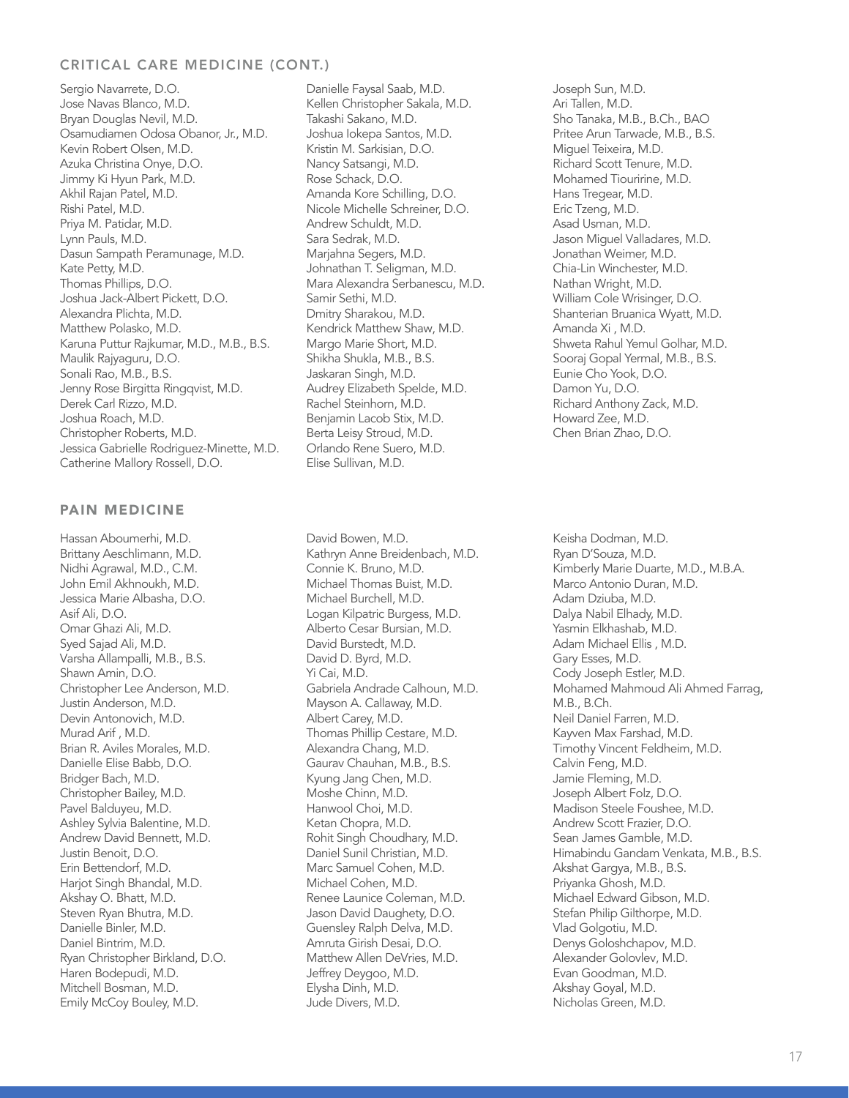# CRITICAL CARE MEDICINE (CONT.)

Sergio Navarrete, D.O. Jose Navas Blanco, M.D. Bryan Douglas Nevil, M.D. Osamudiamen Odosa Obanor, Jr., M.D. Kevin Robert Olsen, M.D. Azuka Christina Onye, D.O. Jimmy Ki Hyun Park, M.D. Akhil Rajan Patel, M.D. Rishi Patel, M.D. Priya M. Patidar, M.D. Lynn Pauls, M.D. Dasun Sampath Peramunage, M.D. Kate Petty, M.D. Thomas Phillips, D.O. Joshua Jack-Albert Pickett, D.O. Alexandra Plichta, M.D. Matthew Polasko, M.D. Karuna Puttur Rajkumar, M.D., M.B., B.S. Maulik Rajyaguru, D.O. Sonali Rao, M.B., B.S. Jenny Rose Birgitta Ringqvist, M.D. Derek Carl Rizzo, M.D. Joshua Roach, M.D. Christopher Roberts, M.D. Jessica Gabrielle Rodriguez-Minette, M.D. Catherine Mallory Rossell, D.O.

#### PAIN MEDICINE

Hassan Aboumerhi, M.D. Brittany Aeschlimann, M.D. Nidhi Agrawal, M.D., C.M. John Emil Akhnoukh, M.D. Jessica Marie Albasha, D.O. Asif Ali, D.O. Omar Ghazi Ali, M.D. Syed Sajad Ali, M.D. Varsha Allampalli, M.B., B.S. Shawn Amin, D.O. Christopher Lee Anderson, M.D. Justin Anderson, M.D. Devin Antonovich, M.D. Murad Arif , M.D. Brian R. Aviles Morales, M.D. Danielle Elise Babb, D.O. Bridger Bach, M.D. Christopher Bailey, M.D. Pavel Balduyeu, M.D. Ashley Sylvia Balentine, M.D. Andrew David Bennett, M.D. Justin Benoit, D.O. Erin Bettendorf, M.D. Harjot Singh Bhandal, M.D. Akshay O. Bhatt, M.D. Steven Ryan Bhutra, M.D. Danielle Binler, M.D. Daniel Bintrim, M.D. Ryan Christopher Birkland, D.O. Haren Bodepudi, M.D. Mitchell Bosman, M.D. Emily McCoy Bouley, M.D.

Danielle Faysal Saab, M.D. Kellen Christopher Sakala, M.D. Takashi Sakano, M.D. Joshua Iokepa Santos, M.D. Kristin M. Sarkisian, D.O. Nancy Satsangi, M.D. Rose Schack, D.O. Amanda Kore Schilling, D.O. Nicole Michelle Schreiner, D.O. Andrew Schuldt, M.D. Sara Sedrak, M.D. Marjahna Segers, M.D. Johnathan T. Seligman, M.D. Mara Alexandra Serbanescu, M.D. Samir Sethi, M.D. Dmitry Sharakou, M.D. Kendrick Matthew Shaw, M.D. Margo Marie Short, M.D. Shikha Shukla, M.B., B.S. Jaskaran Singh, M.D. Audrey Elizabeth Spelde, M.D. Rachel Steinhorn, M.D. Benjamin Lacob Stix, M.D. Berta Leisy Stroud, M.D. Orlando Rene Suero, M.D. Elise Sullivan, M.D.

David Bowen, M.D. Kathryn Anne Breidenbach, M.D. Connie K. Bruno, M.D. Michael Thomas Buist, M.D. Michael Burchell, M.D. Logan Kilpatric Burgess, M.D. Alberto Cesar Bursian, M.D. David Burstedt, M.D. David D. Byrd, M.D. Yi Cai, M.D. Gabriela Andrade Calhoun, M.D. Mayson A. Callaway, M.D. Albert Carey, M.D. Thomas Phillip Cestare, M.D. Alexandra Chang, M.D. Gaurav Chauhan, M.B., B.S. Kyung Jang Chen, M.D. Moshe Chinn, M.D. Hanwool Choi, M.D. Ketan Chopra, M.D. Rohit Singh Choudhary, M.D. Daniel Sunil Christian, M.D. Marc Samuel Cohen, M.D. Michael Cohen, M.D. Renee Launice Coleman, M.D. Jason David Daughety, D.O. Guensley Ralph Delva, M.D. Amruta Girish Desai, D.O. Matthew Allen DeVries, M.D. Jeffrey Deygoo, M.D. Elysha Dinh, M.D. Jude Divers, M.D.

Joseph Sun, M.D. Ari Tallen, M.D. Sho Tanaka, M.B., B.Ch., BAO Pritee Arun Tarwade, M.B., B.S. Miguel Teixeira, M.D. Richard Scott Tenure, M.D. Mohamed Tiouririne, M.D. Hans Tregear, M.D. Eric Tzeng, M.D. Asad Usman, M.D. Jason Miguel Valladares, M.D. Jonathan Weimer, M.D. Chia-Lin Winchester, M.D. Nathan Wright, M.D. William Cole Wrisinger, D.O. Shanterian Bruanica Wyatt, M.D. Amanda Xi , M.D. Shweta Rahul Yemul Golhar, M.D. Sooraj Gopal Yermal, M.B., B.S. Eunie Cho Yook, D.O. Damon Yu, D.O. Richard Anthony Zack, M.D. Howard Zee, M.D. Chen Brian Zhao, D.O.

Keisha Dodman, M.D. Ryan D'Souza, M.D. Kimberly Marie Duarte, M.D., M.B.A. Marco Antonio Duran, M.D. Adam Dziuba, M.D. Dalya Nabil Elhady, M.D. Yasmin Elkhashab, M.D. Adam Michael Ellis , M.D. Gary Esses, M.D. Cody Joseph Estler, M.D. Mohamed Mahmoud Ali Ahmed Farrag, M.B., B.Ch. Neil Daniel Farren, M.D. Kayven Max Farshad, M.D. Timothy Vincent Feldheim, M.D. Calvin Feng, M.D. Jamie Fleming, M.D. Joseph Albert Folz, D.O. Madison Steele Foushee, M.D. Andrew Scott Frazier, D.O. Sean James Gamble, M.D. Himabindu Gandam Venkata, M.B., B.S. Akshat Gargya, M.B., B.S. Priyanka Ghosh, M.D. Michael Edward Gibson, M.D. Stefan Philip Gilthorpe, M.D. Vlad Golgotiu, M.D. Denys Goloshchapov, M.D. Alexander Golovlev, M.D. Evan Goodman, M.D. Akshay Goyal, M.D. Nicholas Green, M.D.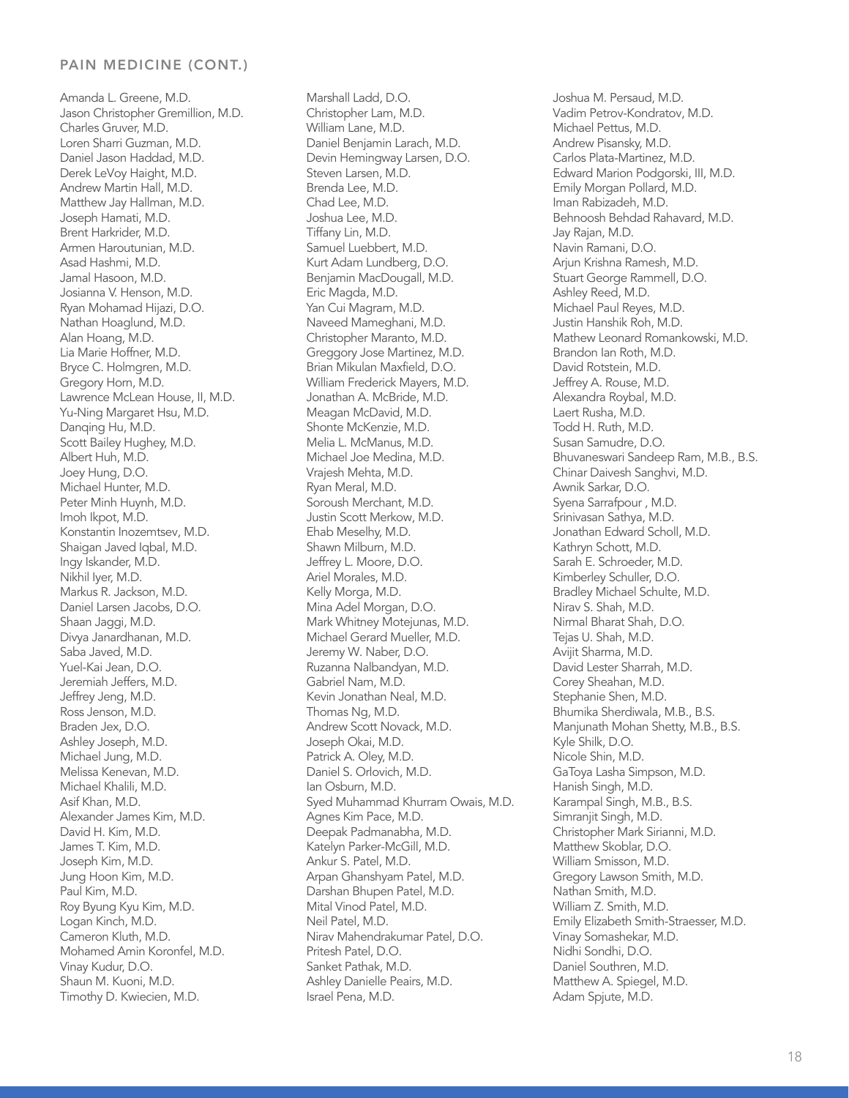#### PAIN MEDICINE (CONT.)

Amanda L. Greene, M.D. Jason Christopher Gremillion, M.D. Charles Gruver, M.D. Loren Sharri Guzman, M.D. Daniel Jason Haddad, M.D. Derek LeVoy Haight, M.D. Andrew Martin Hall, M.D. Matthew Jay Hallman, M.D. Joseph Hamati, M.D. Brent Harkrider, M.D. Armen Haroutunian, M.D. Asad Hashmi, M.D. Jamal Hasoon, M.D. Josianna V. Henson, M.D. Ryan Mohamad Hijazi, D.O. Nathan Hoaglund, M.D. Alan Hoang, M.D. Lia Marie Hoffner, M.D. Bryce C. Holmgren, M.D. Gregory Horn, M.D. Lawrence McLean House, II, M.D. Yu-Ning Margaret Hsu, M.D. Danqing Hu, M.D. Scott Bailey Hughey, M.D. Albert Huh, M.D. Joey Hung, D.O. Michael Hunter, M.D. Peter Minh Huynh, M.D. Imoh Ikpot, M.D. Konstantin Inozemtsev, M.D. Shaigan Javed Iqbal, M.D. Ingy Iskander, M.D. Nikhil Iyer, M.D. Markus R. Jackson, M.D. Daniel Larsen Jacobs, D.O. Shaan Jaggi, M.D. Divya Janardhanan, M.D. Saba Javed, M.D. Yuel-Kai Jean, D.O. Jeremiah Jeffers, M.D. Jeffrey Jeng, M.D. Ross Jenson, M.D. Braden Jex, D.O. Ashley Joseph, M.D. Michael Jung, M.D. Melissa Kenevan, M.D. Michael Khalili, M.D. Asif Khan, M.D. Alexander James Kim, M.D. David H. Kim, M.D. James T. Kim, M.D. Joseph Kim, M.D. Jung Hoon Kim, M.D. Paul Kim, M.D. Roy Byung Kyu Kim, M.D. Logan Kinch, M.D. Cameron Kluth, M.D. Mohamed Amin Koronfel, M.D. Vinay Kudur, D.O. Shaun M. Kuoni, M.D. Timothy D. Kwiecien, M.D.

Marshall Ladd, D.O. Christopher Lam, M.D. William Lane, M.D. Daniel Benjamin Larach, M.D. Devin Hemingway Larsen, D.O. Steven Larsen, M.D. Brenda Lee, M.D. Chad Lee, M.D. Joshua Lee, M.D. Tiffany Lin, M.D. Samuel Luebbert, M.D. Kurt Adam Lundberg, D.O. Benjamin MacDougall, M.D. Eric Magda, M.D. Yan Cui Magram, M.D. Naveed Mameghani, M.D. Christopher Maranto, M.D. Greggory Jose Martinez, M.D. Brian Mikulan Maxfield, D.O. William Frederick Mayers, M.D. Jonathan A. McBride, M.D. Meagan McDavid, M.D. Shonte McKenzie, M.D. Melia L. McManus, M.D. Michael Joe Medina, M.D. Vrajesh Mehta, M.D. Ryan Meral, M.D. Soroush Merchant, M.D. Justin Scott Merkow, M.D. Ehab Meselhy, M.D. Shawn Milburn, M.D. Jeffrey L. Moore, D.O. Ariel Morales, M.D. Kelly Morga, M.D. Mina Adel Morgan, D.O. Mark Whitney Motejunas, M.D. Michael Gerard Mueller, M.D. Jeremy W. Naber, D.O. Ruzanna Nalbandyan, M.D. Gabriel Nam, M.D. Kevin Jonathan Neal, M.D. Thomas Ng, M.D. Andrew Scott Novack, M.D. Joseph Okai, M.D. Patrick A. Oley, M.D. Daniel S. Orlovich, M.D. Ian Osburn, M.D. Syed Muhammad Khurram Owais, M.D. Agnes Kim Pace, M.D. Deepak Padmanabha, M.D. Katelyn Parker-McGill, M.D. Ankur S. Patel, M.D. Arpan Ghanshyam Patel, M.D. Darshan Bhupen Patel, M.D. Mital Vinod Patel, M.D. Neil Patel, M.D. Nirav Mahendrakumar Patel, D.O. Pritesh Patel, D.O. Sanket Pathak, M.D. Ashley Danielle Peairs, M.D. Israel Pena, M.D.

Joshua M. Persaud, M.D. Vadim Petrov-Kondratov, M.D. Michael Pettus, M.D. Andrew Pisansky, M.D. Carlos Plata-Martinez, M.D. Edward Marion Podgorski, III, M.D. Emily Morgan Pollard, M.D. Iman Rabizadeh, M.D. Behnoosh Behdad Rahavard, M.D. Jay Rajan, M.D. Navin Ramani, D.O. Arjun Krishna Ramesh, M.D. Stuart George Rammell, D.O. Ashley Reed, M.D. Michael Paul Reyes, M.D. Justin Hanshik Roh, M.D. Mathew Leonard Romankowski, M.D. Brandon Ian Roth, M.D. David Rotstein, M.D. Jeffrey A. Rouse, M.D. Alexandra Roybal, M.D. Laert Rusha, M.D. Todd H. Ruth, M.D. Susan Samudre, D.O. Bhuvaneswari Sandeep Ram, M.B., B.S. Chinar Daivesh Sanghvi, M.D. Awnik Sarkar, D.O. Syena Sarrafpour , M.D. Srinivasan Sathya, M.D. Jonathan Edward Scholl, M.D. Kathryn Schott, M.D. Sarah E. Schroeder, M.D. Kimberley Schuller, D.O. Bradley Michael Schulte, M.D. Nirav S. Shah, M.D. Nirmal Bharat Shah, D.O. Tejas U. Shah, M.D. Avijit Sharma, M.D. David Lester Sharrah, M.D. Corey Sheahan, M.D. Stephanie Shen, M.D. Bhumika Sherdiwala, M.B., B.S. Manjunath Mohan Shetty, M.B., B.S. Kyle Shilk, D.O. Nicole Shin, M.D. GaToya Lasha Simpson, M.D. Hanish Singh, M.D. Karampal Singh, M.B., B.S. Simranjit Singh, M.D. Christopher Mark Sirianni, M.D. Matthew Skoblar, D.O. William Smisson, M.D. Gregory Lawson Smith, M.D. Nathan Smith, M.D. William Z. Smith, M.D. Emily Elizabeth Smith-Straesser, M.D. Vinay Somashekar, M.D. Nidhi Sondhi, D.O. Daniel Southren, M.D. Matthew A. Spiegel, M.D. Adam Spjute, M.D.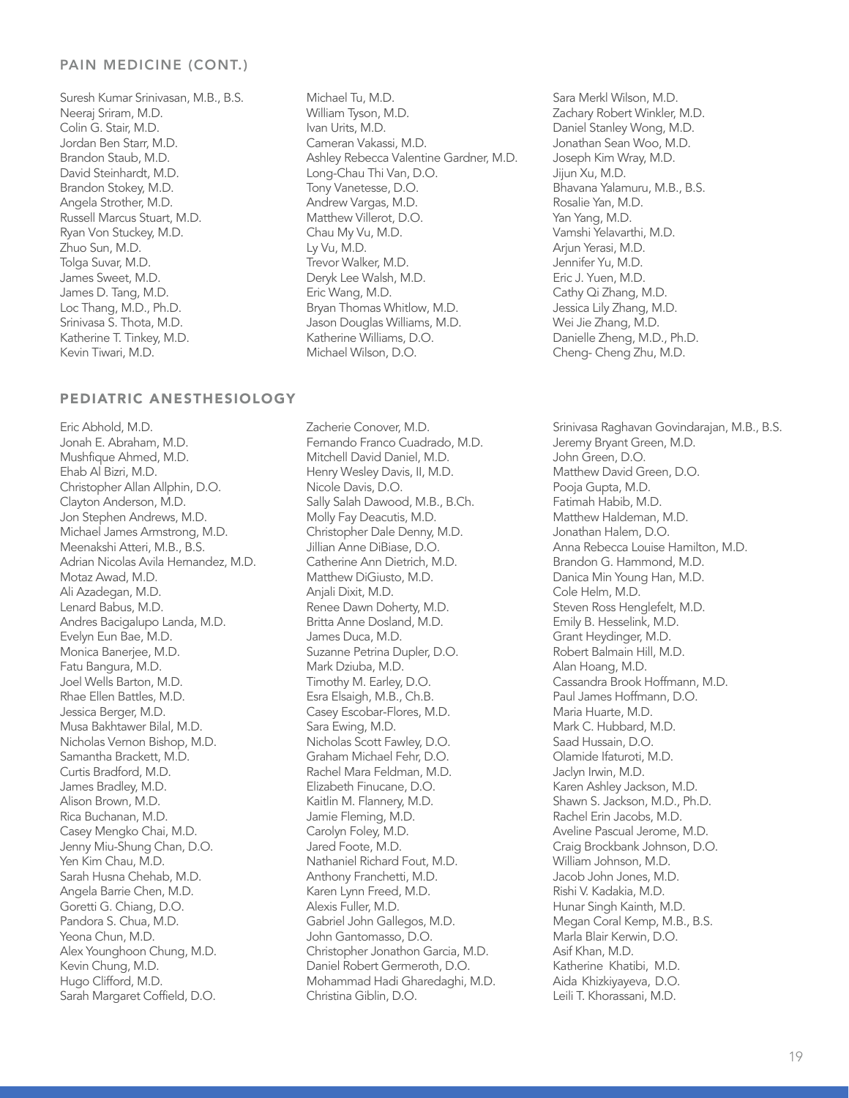#### PAIN MEDICINE (CONT.)

Suresh Kumar Srinivasan, M.B., B.S. Neeraj Sriram, M.D. Colin G. Stair, M.D. Jordan Ben Starr, M.D. Brandon Staub, M.D. David Steinhardt, M.D. Brandon Stokey, M.D. Angela Strother, M.D. Russell Marcus Stuart, M.D. Ryan Von Stuckey, M.D. Zhuo Sun, M.D. Tolga Suvar, M.D. James Sweet, M.D. James D. Tang, M.D. Loc Thang, M.D., Ph.D. Srinivasa S. Thota, M.D. Katherine T. Tinkey, M.D. Kevin Tiwari, M.D.

# PEDIATRIC ANESTHESIOLOGY

Eric Abhold, M.D. Jonah E. Abraham, M.D. Mushfique Ahmed, M.D. Ehab Al Bizri, M.D. Christopher Allan Allphin, D.O. Clayton Anderson, M.D. Jon Stephen Andrews, M.D. Michael James Armstrong, M.D. Meenakshi Atteri, M.B., B.S. Adrian Nicolas Avila Hernandez, M.D. Motaz Awad, M.D. Ali Azadegan, M.D. Lenard Babus, M.D. Andres Bacigalupo Landa, M.D. Evelyn Eun Bae, M.D. Monica Banerjee, M.D. Fatu Bangura, M.D. Joel Wells Barton, M.D. Rhae Ellen Battles, M.D. Jessica Berger, M.D. Musa Bakhtawer Bilal, M.D. Nicholas Vernon Bishop, M.D. Samantha Brackett, M.D. Curtis Bradford, M.D. James Bradley, M.D. Alison Brown, M.D. Rica Buchanan, M.D. Casey Mengko Chai, M.D. Jenny Miu-Shung Chan, D.O. Yen Kim Chau, M.D. Sarah Husna Chehab, M.D. Angela Barrie Chen, M.D. Goretti G. Chiang, D.O. Pandora S. Chua, M.D. Yeona Chun, M.D. Alex Younghoon Chung, M.D. Kevin Chung, M.D. Hugo Clifford, M.D. Sarah Margaret Coffield, D.O.

Michael Tu, M.D. William Tyson, M.D. Ivan Urits, M.D. Cameran Vakassi, M.D. Ashley Rebecca Valentine Gardner, M.D. Long-Chau Thi Van, D.O. Tony Vanetesse, D.O. Andrew Vargas, M.D. Matthew Villerot, D.O. Chau My Vu, M.D. Ly Vu, M.D. Trevor Walker, M.D. Deryk Lee Walsh, M.D. Eric Wang, M.D. Bryan Thomas Whitlow, M.D. Jason Douglas Williams, M.D. Katherine Williams, D.O. Michael Wilson, D.O.

Zacherie Conover, M.D. Fernando Franco Cuadrado, M.D. Mitchell David Daniel, M.D. Henry Wesley Davis, II, M.D. Nicole Davis, D.O. Sally Salah Dawood, M.B., B.Ch. Molly Fay Deacutis, M.D. Christopher Dale Denny, M.D. Jillian Anne DiBiase, D.O. Catherine Ann Dietrich, M.D. Matthew DiGiusto, M.D. Anjali Dixit, M.D. Renee Dawn Doherty, M.D. Britta Anne Dosland, M.D. James Duca, M.D. Suzanne Petrina Dupler, D.O. Mark Dziuba, M.D. Timothy M. Earley, D.O. Esra Elsaigh, M.B., Ch.B. Casey Escobar-Flores, M.D. Sara Ewing, M.D. Nicholas Scott Fawley, D.O. Graham Michael Fehr, D.O. Rachel Mara Feldman, M.D. Elizabeth Finucane, D.O. Kaitlin M. Flannery, M.D. Jamie Fleming, M.D. Carolyn Foley, M.D. Jared Foote, M.D. Nathaniel Richard Fout, M.D. Anthony Franchetti, M.D. Karen Lynn Freed, M.D. Alexis Fuller, M.D. Gabriel John Gallegos, M.D. John Gantomasso, D.O. Christopher Jonathon Garcia, M.D. Daniel Robert Germeroth, D.O. Mohammad Hadi Gharedaghi, M.D. Christina Giblin, D.O.

Sara Merkl Wilson, M.D. Zachary Robert Winkler, M.D. Daniel Stanley Wong, M.D. Jonathan Sean Woo, M.D. Joseph Kim Wray, M.D. Jijun Xu, M.D. Bhavana Yalamuru, M.B., B.S. Rosalie Yan, M.D. Yan Yang, M.D. Vamshi Yelavarthi, M.D. Arjun Yerasi, M.D. Jennifer Yu, M.D. Eric J. Yuen, M.D. Cathy Qi Zhang, M.D. Jessica Lily Zhang, M.D. Wei Jie Zhang, M.D. Danielle Zheng, M.D., Ph.D. Cheng- Cheng Zhu, M.D.

Srinivasa Raghavan Govindarajan, M.B., B.S. Jeremy Bryant Green, M.D. John Green, D.O. Matthew David Green, D.O. Pooja Gupta, M.D. Fatimah Habib, M.D. Matthew Haldeman, M.D. Jonathan Halem, D.O. Anna Rebecca Louise Hamilton, M.D. Brandon G. Hammond, M.D. Danica Min Young Han, M.D. Cole Helm, M.D. Steven Ross Henglefelt, M.D. Emily B. Hesselink, M.D. Grant Heydinger, M.D. Robert Balmain Hill, M.D. Alan Hoang, M.D. Cassandra Brook Hoffmann, M.D. Paul James Hoffmann, D.O. Maria Huarte, M.D. Mark C. Hubbard, M.D. Saad Hussain, D.O. Olamide Ifaturoti, M.D. Jaclyn Irwin, M.D. Karen Ashley Jackson, M.D. Shawn S. Jackson, M.D., Ph.D. Rachel Erin Jacobs, M.D. Aveline Pascual Jerome, M.D. Craig Brockbank Johnson, D.O. William Johnson, M.D. Jacob John Jones, M.D. Rishi V. Kadakia, M.D. Hunar Singh Kainth, M.D. Megan Coral Kemp, M.B., B.S. Marla Blair Kerwin, D.O. Asif Khan, M.D. Katherine Khatibi, M.D. Aida Khizkiyayeva, D.O. Leili T. Khorassani, M.D.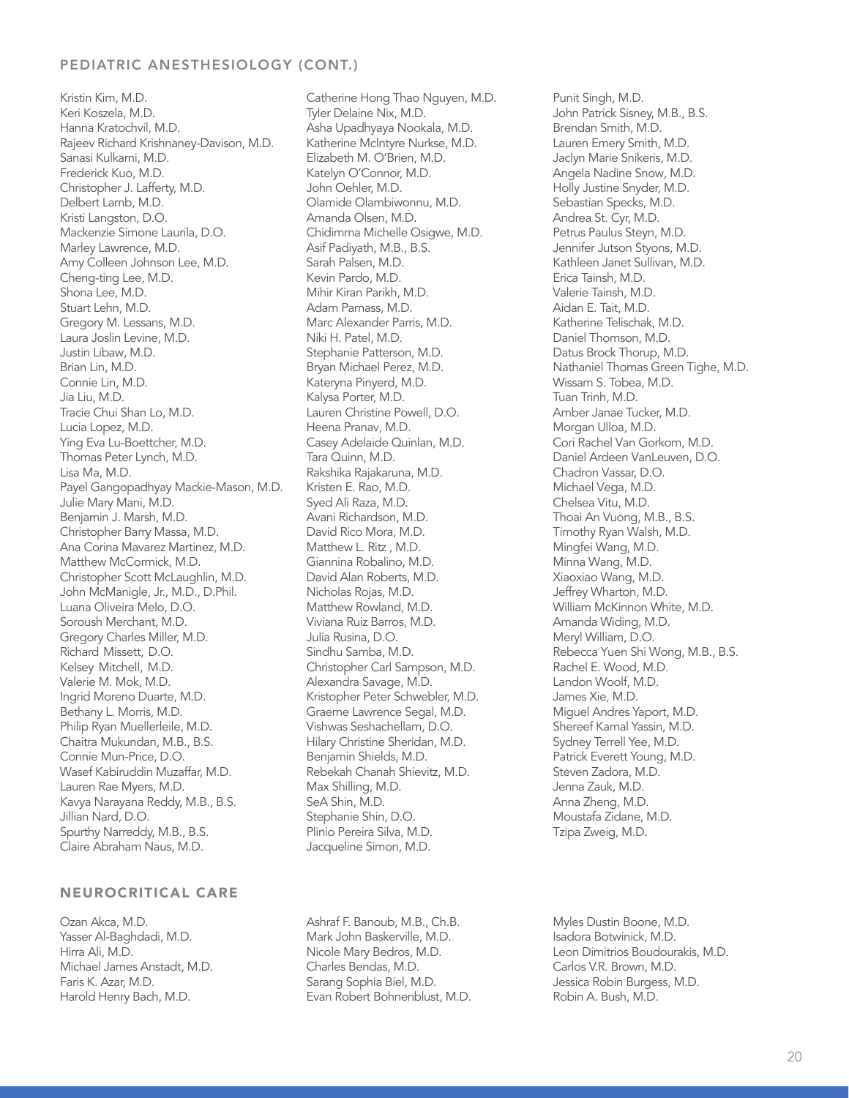# PEDIATRIC ANESTHESIOLOGY (CONT.)

Kristin Kim, M.D. Keri Koszela, M.D. Hanna Kratochvil, M.D. Rajeev Richard Krishnaney-Davison, M.D. Sanasi Kulkarni, M.D. Frederick Kuo, M.D. Christopher J. Lafferty, M.D. Delbert Lamb, M.D. Kristi Langston, D.O. Mackenzie Simone Laurila, D.O. Marley Lawrence, M.D. Amy Colleen Johnson Lee, M.D. Cheng-ting Lee, M.D. Shona Lee, M.D. Stuart Lehn, M.D. Gregory M. Lessans, M.D. Laura Joslin Levine, M.D. Justin Libaw, M.D. Brian Lin, M.D. Connie Lin, M.D. Jia Liu, M.D. Tracie Chui Shan Lo, M.D. Lucia Lopez, M.D. Ying Eva Lu-Boettcher, M.D. Thomas Peter Lynch, M.D. Lisa Ma, M.D. Payel Gangopadhyay Mackie-Mason, M.D. Julie Mary Mani, M.D. Benjamin J. Marsh, M.D. Christopher Barry Massa, M.D. Ana Corina Mavarez Martinez, M.D. Matthew McCormick, M.D. Christopher Scott McLaughlin, M.D. John McManigle, Jr., M.D., D.Phil. Luana Oliveira Melo, D.O. Soroush Merchant, M.D. Gregory Charles Miller, M.D. Richard Missett, D.O. Kelsey Mitchell, M.D. Valerie M. Mok, M.D. Ingrid Moreno Duarte, M.D. Bethany L. Morris, M.D. Philip Ryan Muellerleile, M.D. Chaitra Mukundan, M.B., B.S. Connie Mun-Price, D.O. Wasef Kabiruddin Muzaffar, M.D. Lauren Rae Myers, M.D. Kavya Narayana Reddy, M.B., B.S. Jillian Nard, D.O. Spurthy Narreddy, M.B., B.S. Claire Abraham Naus, M.D.

#### NEUROCRITICAL CARE

Ozan Akca, M.D. Yasser Al-Baghdadi, M.D. Hirra Ali, M.D. Michael James Anstadt, M.D. Faris K. Azar, M.D. Harold Henry Bach, M.D.

Catherine Hong Thao Nguyen, M.D. Tyler Delaine Nix, M.D. Asha Upadhyaya Nookala, M.D. Katherine McIntyre Nurkse, M.D. Elizabeth M. O'Brien, M.D. Katelyn O'Connor, M.D. John Oehler, M.D. Olamide Olambiwonnu, M.D. Amanda Olsen, M.D. Chidimma Michelle Osigwe, M.D. Asif Padiyath, M.B., B.S. Sarah Palsen, M.D. Kevin Pardo, M.D. Mihir Kiran Parikh, M.D. Adam Parnass, M.D. Marc Alexander Parris, M.D. Niki H. Patel, M.D. Stephanie Patterson, M.D. Bryan Michael Perez, M.D. Kateryna Pinyerd, M.D. Kalysa Porter, M.D. Lauren Christine Powell, D.O. Heena Pranav, M.D. Casey Adelaide Quinlan, M.D. Tara Quinn, M.D. Rakshika Rajakaruna, M.D. Kristen E. Rao, M.D. Syed Ali Raza, M.D. Avani Richardson, M.D. David Rico Mora, M.D. Matthew L. Ritz , M.D. Giannina Robalino, M.D. David Alan Roberts, M.D. Nicholas Rojas, M.D. Matthew Rowland, M.D. Viviana Ruiz Barros, M.D. Julia Rusina, D.O. Sindhu Samba, M.D. Christopher Carl Sampson, M.D. Alexandra Savage, M.D. Kristopher Peter Schwebler, M.D. Graeme Lawrence Segal, M.D. Vishwas Seshachellam, D.O. Hilary Christine Sheridan, M.D. Benjamin Shields, M.D. Rebekah Chanah Shievitz, M.D. Max Shilling, M.D. SeA Shin, M.D. Stephanie Shin, D.O. Plinio Pereira Silva, M.D. Jacqueline Simon, M.D.

Ashraf F. Banoub, M.B., Ch.B. Mark John Baskerville, M.D. Nicole Mary Bedros, M.D. Charles Bendas, M.D. Sarang Sophia Biel, M.D. Evan Robert Bohnenblust, M.D.

Punit Singh, M.D. John Patrick Sisney, M.B., B.S. Brendan Smith, M.D. Lauren Emery Smith, M.D. Jaclyn Marie Snikeris, M.D. Angela Nadine Snow, M.D. Holly Justine Snyder, M.D. Sebastian Specks, M.D. Andrea St. Cyr, M.D. Petrus Paulus Steyn, M.D. Jennifer Jutson Styons, M.D. Kathleen Janet Sullivan, M.D. Erica Tainsh, M.D. Valerie Tainsh, M.D. Aidan E. Tait, M.D. Katherine Telischak, M.D. Daniel Thomson, M.D. Datus Brock Thorup, M.D. Nathaniel Thomas Green Tighe, M.D. Wissam S. Tobea, M.D. Tuan Trinh, M.D. Amber Janae Tucker, M.D. Morgan Ulloa, M.D. Cori Rachel Van Gorkom, M.D. Daniel Ardeen VanLeuven, D.O. Chadron Vassar, D.O. Michael Vega, M.D. Chelsea Vitu, M.D. Thoai An Vuong, M.B., B.S. Timothy Ryan Walsh, M.D. Mingfei Wang, M.D. Minna Wang, M.D. Xiaoxiao Wang, M.D. Jeffrey Wharton, M.D. William McKinnon White, M.D. Amanda Widing, M.D. Meryl William, D.O. Rebecca Yuen Shi Wong, M.B., B.S. Rachel E. Wood, M.D. Landon Woolf, M.D. James Xie, M.D. Miguel Andres Yaport, M.D. Shereef Kamal Yassin, M.D. Sydney Terrell Yee, M.D. Patrick Everett Young, M.D. Steven Zadora, M.D. Jenna Zauk, M.D. Anna Zheng, M.D. Moustafa Zidane, M.D. Tzipa Zweig, M.D.

Myles Dustin Boone, M.D. Isadora Botwinick, M.D. Leon Dimitrios Boudourakis, M.D. Carlos V.R. Brown, M.D. Jessica Robin Burgess, M.D. Robin A. Bush, M.D.